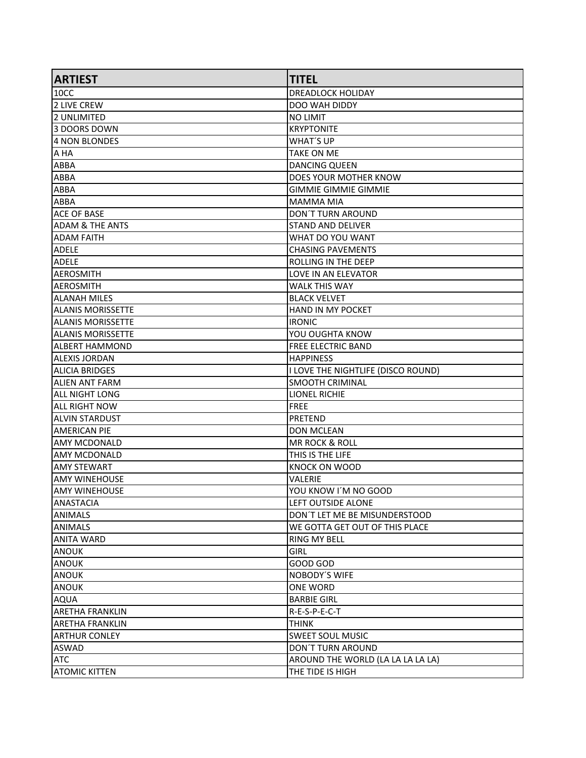| <b>ARTIEST</b>             | <b>TITEL</b>                       |
|----------------------------|------------------------------------|
| 10CC                       | <b>DREADLOCK HOLIDAY</b>           |
| <b>2 LIVE CREW</b>         | DOO WAH DIDDY                      |
| 12 UNLIMITED               | NO LIMIT                           |
| 3 DOORS DOWN               | <b>KRYPTONITE</b>                  |
| 4 NON BLONDES              | <b>WHAT'S UP</b>                   |
| A HA                       | <b>TAKE ON ME</b>                  |
| <b>ABBA</b>                | <b>DANCING QUEEN</b>               |
| <b>ABBA</b>                | DOES YOUR MOTHER KNOW              |
| <b>ABBA</b>                | <b>GIMMIE GIMMIE GIMMIE</b>        |
| <b>ABBA</b>                | <b>MAMMA MIA</b>                   |
| ACE OF BASE                | <b>DON'T TURN AROUND</b>           |
| <b>ADAM &amp; THE ANTS</b> | <b>STAND AND DELIVER</b>           |
| IADAM FAITH                | WHAT DO YOU WANT                   |
| <b>ADELE</b>               | <b>CHASING PAVEMENTS</b>           |
| <b>ADELE</b>               | ROLLING IN THE DEEP                |
| AEROSMITH                  | <b>LOVE IN AN ELEVATOR</b>         |
| AEROSMITH                  | <b>WALK THIS WAY</b>               |
| ALLANAH MILES              | <b>BLACK VELVET</b>                |
| <b>ALANIS MORISSETTE</b>   | <b>HAND IN MY POCKET</b>           |
| ALANIS MORISSETTE          | <b>IRONIC</b>                      |
| ALANIS MORISSETTE          | YOU OUGHTA KNOW                    |
| ALBERT HAMMOND             | <b>FREE ELECTRIC BAND</b>          |
| IALEXIS JORDAN             | <b>HAPPINESS</b>                   |
| <b>ALICIA BRIDGES</b>      | I LOVE THE NIGHTLIFE (DISCO ROUND) |
| ALIEN ANT FARM             | <b>SMOOTH CRIMINAL</b>             |
| <b>ALL NIGHT LONG</b>      | <b>LIONEL RICHIE</b>               |
| ALL RIGHT NOW              | <b>FREE</b>                        |
| ALVIN STARDUST             | <b>PRETEND</b>                     |
| <b>AMERICAN PIE</b>        | <b>DON MCLEAN</b>                  |
| AMY MCDONALD               | <b>MR ROCK &amp; ROLL</b>          |
| lamy mcDONALD              | THIS IS THE LIFE                   |
| AMY STEWART                | <b>KNOCK ON WOOD</b>               |
| IAMY WINEHOUSE             | VALERIE                            |
| lamy winehouse             | YOU KNOW I'M NO GOOD               |
| ANASTACIA                  | LEFT OUTSIDE ALONE                 |
| <b>ANIMALS</b>             | DON'T LET ME BE MISUNDERSTOOD      |
| ANIMALS                    | WE GOTTA GET OUT OF THIS PLACE     |
| ANITA WARD                 | <b>RING MY BELL</b>                |
| ANOUK                      | <b>GIRL</b>                        |
| ANOUK                      | GOOD GOD                           |
| ANOUK                      | <b>NOBODY'S WIFE</b>               |
| ANOUK                      | ONE WORD                           |
| AQUA                       | <b>BARBIE GIRL</b>                 |
| <b>ARETHA FRANKLIN</b>     | R-E-S-P-E-C-T                      |
| <b>ARETHA FRANKLIN</b>     | <b>THINK</b>                       |
| <b>ARTHUR CONLEY</b>       | <b>SWEET SOUL MUSIC</b>            |
| <b>ASWAD</b>               | <b>DON'T TURN AROUND</b>           |
| <b>ATC</b>                 | AROUND THE WORLD (LA LA LA LA LA)  |
| <b>ATOMIC KITTEN</b>       | THE TIDE IS HIGH                   |
|                            |                                    |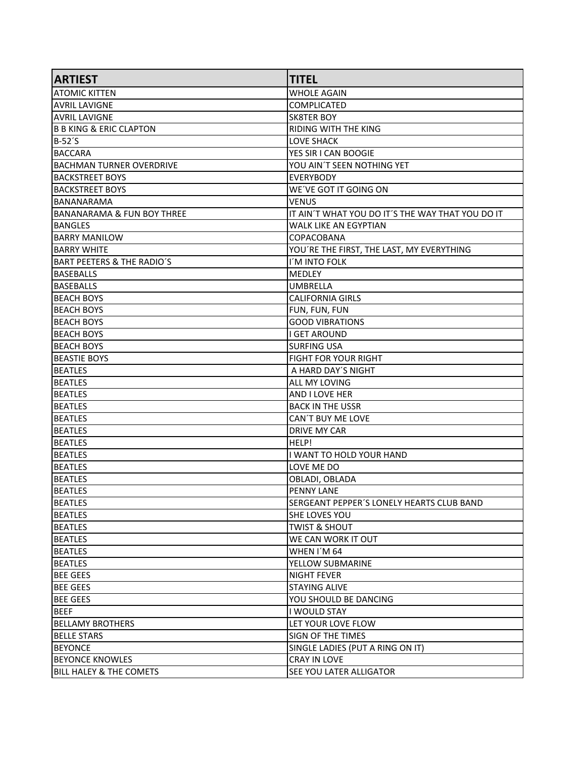| <b>ARTIEST</b>                        | <b>TITEL</b>                                     |
|---------------------------------------|--------------------------------------------------|
| <b>ATOMIC KITTEN</b>                  | <b>WHOLE AGAIN</b>                               |
| <b>AVRIL LAVIGNE</b>                  | COMPLICATED                                      |
| <b>AVRIL LAVIGNE</b>                  | <b>SK8TER BOY</b>                                |
| <b>B B KING &amp; ERIC CLAPTON</b>    | <b>RIDING WITH THE KING</b>                      |
| B-52'S                                | <b>LOVE SHACK</b>                                |
| <b>BACCARA</b>                        | YES SIR I CAN BOOGIE                             |
| <b>BACHMAN TURNER OVERDRIVE</b>       | YOU AIN'T SEEN NOTHING YET                       |
| <b>BACKSTREET BOYS</b>                | <b>EVERYBODY</b>                                 |
| <b>BACKSTREET BOYS</b>                | WE'VE GOT IT GOING ON                            |
| <b>BANANARAMA</b>                     | <b>VENUS</b>                                     |
| <b>BANANARAMA &amp; FUN BOY THREE</b> | IT AIN'T WHAT YOU DO IT'S THE WAY THAT YOU DO IT |
| <b>BANGLES</b>                        | <b>WALK LIKE AN EGYPTIAN</b>                     |
| <b>BARRY MANILOW</b>                  | COPACOBANA                                       |
| <b>BARRY WHITE</b>                    | YOU'RE THE FIRST, THE LAST, MY EVERYTHING        |
| <b>BART PEETERS &amp; THE RADIO'S</b> | I'M INTO FOLK                                    |
| <b>BASEBALLS</b>                      | <b>MEDLEY</b>                                    |
| <b>BASEBALLS</b>                      | <b>UMBRELLA</b>                                  |
| <b>BEACH BOYS</b>                     | <b>CALIFORNIA GIRLS</b>                          |
| <b>BEACH BOYS</b>                     | FUN, FUN, FUN                                    |
| <b>BEACH BOYS</b>                     | <b>GOOD VIBRATIONS</b>                           |
| <b>BEACH BOYS</b>                     | <b>I GET AROUND</b>                              |
| <b>BEACH BOYS</b>                     | <b>SURFING USA</b>                               |
| <b>BEASTIE BOYS</b>                   | <b>FIGHT FOR YOUR RIGHT</b>                      |
| <b>BEATLES</b>                        | A HARD DAY'S NIGHT                               |
| <b>BEATLES</b>                        | ALL MY LOVING                                    |
| <b>BEATLES</b>                        | <b>AND I LOVE HER</b>                            |
| <b>BEATLES</b>                        | <b>BACK IN THE USSR</b>                          |
| <b>BEATLES</b>                        | CAN'T BUY ME LOVE                                |
| <b>BEATLES</b>                        | <b>DRIVE MY CAR</b>                              |
| <b>BEATLES</b>                        | HELP!                                            |
| <b>BEATLES</b>                        | I WANT TO HOLD YOUR HAND                         |
| <b>BEATLES</b>                        | LOVE ME DO                                       |
| <b>BEATLES</b>                        | OBLADI, OBLADA                                   |
| <b>BEATLES</b>                        | <b>PENNY LANE</b>                                |
| <b>BEATLES</b>                        | SERGEANT PEPPER'S LONELY HEARTS CLUB BAND        |
| <b>BEATLES</b>                        | SHE LOVES YOU                                    |
| <b>BEATLES</b>                        | <b>TWIST &amp; SHOUT</b>                         |
| <b>BEATLES</b>                        | WE CAN WORK IT OUT                               |
| <b>BEATLES</b>                        | WHEN I'M 64                                      |
| BEATLES                               | YELLOW SUBMARINE                                 |
| <b>BEE GEES</b>                       | <b>NIGHT FEVER</b>                               |
| <b>BEE GEES</b>                       | <b>STAYING ALIVE</b>                             |
| <b>BEE GEES</b>                       | YOU SHOULD BE DANCING                            |
| <b>BEEF</b>                           | I WOULD STAY                                     |
| <b>BELLAMY BROTHERS</b>               | LET YOUR LOVE FLOW                               |
| <b>BELLE STARS</b>                    | <b>SIGN OF THE TIMES</b>                         |
| <b>BEYONCE</b>                        | SINGLE LADIES (PUT A RING ON IT)                 |
| <b>BEYONCE KNOWLES</b>                | <b>CRAY IN LOVE</b>                              |
| <b>BILL HALEY &amp; THE COMETS</b>    | SEE YOU LATER ALLIGATOR                          |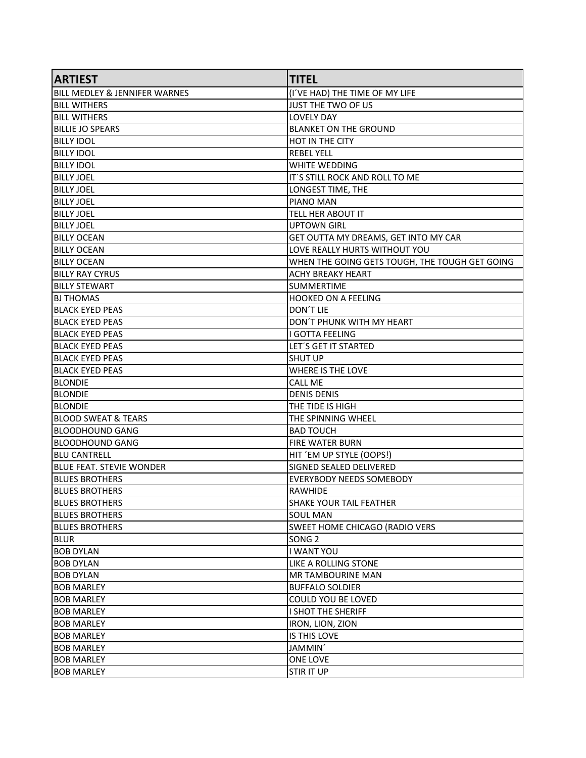| <b>ARTIEST</b>                           | <b>TITEL</b>                                   |
|------------------------------------------|------------------------------------------------|
| <b>BILL MEDLEY &amp; JENNIFER WARNES</b> | (I'VE HAD) THE TIME OF MY LIFE                 |
| <b>BILL WITHERS</b>                      | JUST THE TWO OF US                             |
| <b>BILL WITHERS</b>                      | <b>LOVELY DAY</b>                              |
| <b>BILLIE JO SPEARS</b>                  | <b>BLANKET ON THE GROUND</b>                   |
| <b>BILLY IDOL</b>                        | <b>HOT IN THE CITY</b>                         |
| <b>BILLY IDOL</b>                        | <b>REBEL YELL</b>                              |
| <b>BILLY IDOL</b>                        | <b>WHITE WEDDING</b>                           |
| <b>BILLY JOEL</b>                        | IT'S STILL ROCK AND ROLL TO ME                 |
| <b>BILLY JOEL</b>                        | LONGEST TIME, THE                              |
| <b>BILLY JOEL</b>                        | <b>PIANO MAN</b>                               |
| BILLY JOEL                               | TELL HER ABOUT IT                              |
| <b>BILLY JOEL</b>                        | <b>UPTOWN GIRL</b>                             |
| <b>BILLY OCEAN</b>                       | GET OUTTA MY DREAMS, GET INTO MY CAR           |
| <b>BILLY OCEAN</b>                       | LOVE REALLY HURTS WITHOUT YOU                  |
| <b>BILLY OCEAN</b>                       | WHEN THE GOING GETS TOUGH, THE TOUGH GET GOING |
| <b>BILLY RAY CYRUS</b>                   | ACHY BREAKY HEART                              |
| <b>BILLY STEWART</b>                     | <b>SUMMERTIME</b>                              |
| <b>BJ THOMAS</b>                         | HOOKED ON A FEELING                            |
| <b>BLACK EYED PEAS</b>                   | DON'T LIE                                      |
| <b>BLACK EYED PEAS</b>                   | DON'T PHUNK WITH MY HEART                      |
| <b>BLACK EYED PEAS</b>                   | I GOTTA FEELING                                |
| <b>BLACK EYED PEAS</b>                   | LET'S GET IT STARTED                           |
| <b>BLACK EYED PEAS</b>                   | <b>SHUT UP</b>                                 |
| <b>BLACK EYED PEAS</b>                   | WHERE IS THE LOVE                              |
| <b>BLONDIE</b>                           | <b>CALL ME</b>                                 |
| <b>BLONDIE</b>                           | <b>DENIS DENIS</b>                             |
| <b>BLONDIE</b>                           | THE TIDE IS HIGH                               |
| <b>BLOOD SWEAT &amp; TEARS</b>           | THE SPINNING WHEEL                             |
| BLOODHOUND GANG                          | <b>BAD TOUCH</b>                               |
| <b>BLOODHOUND GANG</b>                   | <b>FIRE WATER BURN</b>                         |
| <b>BLU CANTRELL</b>                      | HIT 'EM UP STYLE (OOPS!)                       |
| <b>BLUE FEAT. STEVIE WONDER</b>          | SIGNED SEALED DELIVERED                        |
| <b>BLUES BROTHERS</b>                    | <b>EVERYBODY NEEDS SOMEBODY</b>                |
| <b>BLUES BROTHERS</b>                    | RAWHIDE                                        |
| <b>BLUES BROTHERS</b>                    | <b>SHAKE YOUR TAIL FEATHER</b>                 |
| <b>BLUES BROTHERS</b>                    | <b>SOUL MAN</b>                                |
| <b>BLUES BROTHERS</b>                    | SWEET HOME CHICAGO (RADIO VERS                 |
| <b>BLUR</b>                              | SONG <sub>2</sub>                              |
| <b>BOB DYLAN</b>                         | I WANT YOU                                     |
| <b>BOB DYLAN</b>                         | LIKE A ROLLING STONE                           |
| BOB DYLAN                                | <b>MR TAMBOURINE MAN</b>                       |
| <b>BOB MARLEY</b>                        | <b>BUFFALO SOLDIER</b>                         |
| <b>BOB MARLEY</b>                        | COULD YOU BE LOVED                             |
| <b>BOB MARLEY</b>                        | I SHOT THE SHERIFF                             |
| <b>BOB MARLEY</b>                        | IRON, LION, ZION                               |
| BOB MARLEY                               | IS THIS LOVE                                   |
| <b>BOB MARLEY</b>                        | JAMMIN'                                        |
| <b>BOB MARLEY</b>                        | ONE LOVE                                       |
| <b>BOB MARLEY</b>                        | <b>STIR IT UP</b>                              |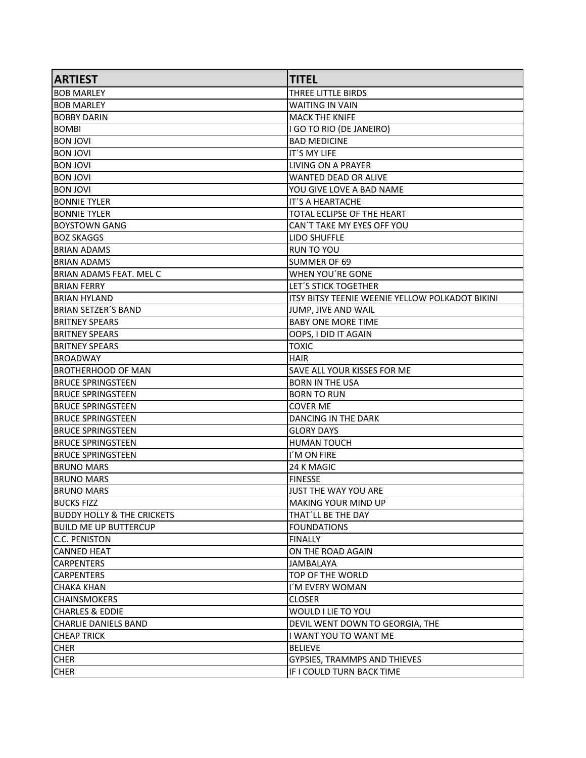| <b>ARTIEST</b>                        | <b>TITEL</b>                                    |
|---------------------------------------|-------------------------------------------------|
| IBOB MARLEY                           | THREE LITTLE BIRDS                              |
| <b>BOB MARLEY</b>                     | <b>WAITING IN VAIN</b>                          |
| <b>BOBBY DARIN</b>                    | <b>MACK THE KNIFE</b>                           |
| BOMBI                                 | I GO TO RIO (DE JANEIRO)                        |
| IVOL NORI                             | <b>BAD MEDICINE</b>                             |
| <b>BON JOVI</b>                       | IT'S MY LIFE                                    |
| <b>BON JOVI</b>                       | LIVING ON A PRAYER                              |
| <b>IVOL VIOB</b>                      | <b>WANTED DEAD OR ALIVE</b>                     |
| <b>IVOL VIOB</b>                      | YOU GIVE LOVE A BAD NAME                        |
| BONNIE TYLER                          | <b>IT'S A HEARTACHE</b>                         |
| <b>BONNIE TYLER</b>                   | TOTAL ECLIPSE OF THE HEART                      |
| <b>BOYSTOWN GANG</b>                  | CAN'T TAKE MY EYES OFF YOU                      |
| BOZ SKAGGS                            | LIDO SHUFFLE                                    |
| <b>BRIAN ADAMS</b>                    | <b>RUN TO YOU</b>                               |
| <b>BRIAN ADAMS</b>                    | SUMMER OF 69                                    |
| IBRIAN ADAMS FEAT. MEL C              | WHEN YOU'RE GONE                                |
| <b>BRIAN FERRY</b>                    | LET'S STICK TOGETHER                            |
| BRIAN HYLAND                          | ITSY BITSY TEENIE WEENIE YELLOW POLKADOT BIKINI |
| BRIAN SETZER´S BAND                   | JUMP, JIVE AND WAIL                             |
| <b>BRITNEY SPEARS</b>                 | <b>BABY ONE MORE TIME</b>                       |
| <b>BRITNEY SPEARS</b>                 | OOPS, I DID IT AGAIN                            |
| <b>BRITNEY SPEARS</b>                 | <b>TOXIC</b>                                    |
| IBROADWAY                             | <b>HAIR</b>                                     |
| <b>BROTHERHOOD OF MAN</b>             | SAVE ALL YOUR KISSES FOR ME                     |
| <b>BRUCE SPRINGSTEEN</b>              | <b>BORN IN THE USA</b>                          |
| <b>BRUCE SPRINGSTEEN</b>              | <b>BORN TO RUN</b>                              |
| <b>BRUCE SPRINGSTEEN</b>              | <b>COVER ME</b>                                 |
| <b>BRUCE SPRINGSTEEN</b>              | DANCING IN THE DARK                             |
| <b>BRUCE SPRINGSTEEN</b>              | <b>GLORY DAYS</b>                               |
| <b>BRUCE SPRINGSTEEN</b>              | <b>HUMAN TOUCH</b>                              |
| <b>BRUCE SPRINGSTEEN</b>              | I'M ON FIRE                                     |
| BRUNO MARS                            | 24 K MAGIC                                      |
| IBRUNO MARS                           | <b>FINESSE</b>                                  |
| <b>BRUNO MARS</b>                     | JUST THE WAY YOU ARE                            |
| <b>BUCKS FIZZ</b>                     | <b>MAKING YOUR MIND UP</b>                      |
| <b>BUDDY HOLLY &amp; THE CRICKETS</b> | THAT'LL BE THE DAY                              |
| <b>BUILD ME UP BUTTERCUP</b>          | <b>FOUNDATIONS</b>                              |
| C.C. PENISTON                         | <b>FINALLY</b>                                  |
| <b>CANNED HEAT</b>                    | ON THE ROAD AGAIN                               |
| CARPENTERS                            | <b>JAMBALAYA</b>                                |
| CARPENTERS                            | TOP OF THE WORLD                                |
| CHAKA KHAN                            | I'M EVERY WOMAN                                 |
| <b>CHAINSMOKERS</b>                   | <b>CLOSER</b>                                   |
| <b>CHARLES &amp; EDDIE</b>            | WOULD I LIE TO YOU                              |
| CHARLIE DANIELS BAND                  | DEVIL WENT DOWN TO GEORGIA, THE                 |
| <b>CHEAP TRICK</b>                    | I WANT YOU TO WANT ME                           |
| <b>CHER</b>                           | <b>BELIEVE</b>                                  |
| <b>CHER</b>                           | GYPSIES, TRAMMPS AND THIEVES                    |
| <b>CHER</b>                           | IF I COULD TURN BACK TIME                       |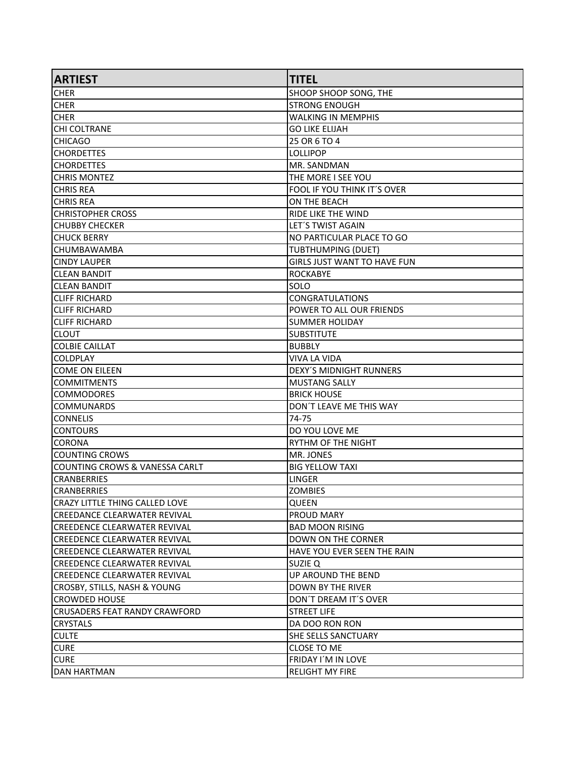| <b>ARTIEST</b>                        | <b>TITEL</b>                       |
|---------------------------------------|------------------------------------|
| <b>CHER</b>                           | SHOOP SHOOP SONG, THE              |
| <b>CHER</b>                           | <b>STRONG ENOUGH</b>               |
| <b>CHER</b>                           | <b>WALKING IN MEMPHIS</b>          |
| CHI COLTRANE                          | <b>GO LIKE ELIJAH</b>              |
| <b>CHICAGO</b>                        | 25 OR 6 TO 4                       |
| <b>CHORDETTES</b>                     | <b>LOLLIPOP</b>                    |
| <b>CHORDETTES</b>                     | MR. SANDMAN                        |
| <b>CHRIS MONTEZ</b>                   | THE MORE I SEE YOU                 |
| <b>CHRIS REA</b>                      | FOOL IF YOU THINK IT'S OVER        |
| <b>CHRIS REA</b>                      | ON THE BEACH                       |
| <b>CHRISTOPHER CROSS</b>              | RIDE LIKE THE WIND                 |
| <b>CHUBBY CHECKER</b>                 | LET'S TWIST AGAIN                  |
| <b>CHUCK BERRY</b>                    | NO PARTICULAR PLACE TO GO          |
| CHUMBAWAMBA                           | <b>TUBTHUMPING (DUET)</b>          |
| <b>CINDY LAUPER</b>                   | <b>GIRLS JUST WANT TO HAVE FUN</b> |
| ICLEAN BANDIT                         | <b>ROCKABYE</b>                    |
| <b>ICLEAN BANDIT</b>                  | SOLO                               |
| <b>CLIFF RICHARD</b>                  | <b>CONGRATULATIONS</b>             |
| <b>CLIFF RICHARD</b>                  | POWER TO ALL OUR FRIENDS           |
| <b>CLIFF RICHARD</b>                  | <b>SUMMER HOLIDAY</b>              |
| <b>CLOUT</b>                          | <b>SUBSTITUTE</b>                  |
| <b>COLBIE CAILLAT</b>                 | <b>BUBBLY</b>                      |
| ICOLDPLAY                             | VIVA LA VIDA                       |
| COME ON EILEEN                        | <b>DEXY'S MIDNIGHT RUNNERS</b>     |
| <b>COMMITMENTS</b>                    | <b>MUSTANG SALLY</b>               |
| COMMODORES                            | <b>BRICK HOUSE</b>                 |
| <b>COMMUNARDS</b>                     | DON'T LEAVE ME THIS WAY            |
| <b>CONNELIS</b>                       | 74-75                              |
| ICONTOURS                             | DO YOU LOVE ME                     |
| ICORONA                               | RYTHM OF THE NIGHT                 |
| COUNTING CROWS                        | MR. JONES                          |
| COUNTING CROWS & VANESSA CARLT        | <b>BIG YELLOW TAXI</b>             |
| <b>CRANBERRIES</b>                    | LINGER                             |
| <b>CRANBERRIES</b>                    | <b>ZOMBIES</b>                     |
| <b>CRAZY LITTLE THING CALLED LOVE</b> | QUEEN                              |
| ICREEDANCE CLEARWATER REVIVAL         | <b>PROUD MARY</b>                  |
| ICREEDENCE CLEARWATER REVIVAL         | <b>BAD MOON RISING</b>             |
| CREEDENCE CLEARWATER REVIVAL          | DOWN ON THE CORNER                 |
| CREEDENCE CLEARWATER REVIVAL          | HAVE YOU EVER SEEN THE RAIN        |
| CREEDENCE CLEARWATER REVIVAL          | <b>SUZIE Q</b>                     |
| CREEDENCE CLEARWATER REVIVAL          | UP AROUND THE BEND                 |
| CROSBY, STILLS, NASH & YOUNG          | <b>DOWN BY THE RIVER</b>           |
| ICROWDED HOUSE                        | DON'T DREAM IT'S OVER              |
| CRUSADERS FEAT RANDY CRAWFORD         | <b>STREET LIFE</b>                 |
| <b>CRYSTALS</b>                       | DA DOO RON RON                     |
| <b>CULTE</b>                          | SHE SELLS SANCTUARY                |
| <b>CURE</b>                           | <b>CLOSE TO ME</b>                 |
| <b>CURE</b>                           | FRIDAY I'M IN LOVE                 |
| DAN HARTMAN                           | <b>RELIGHT MY FIRE</b>             |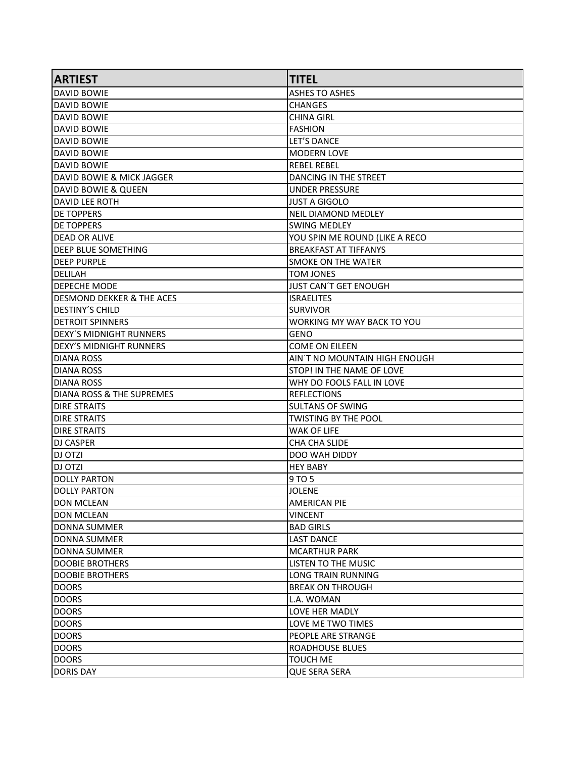| <b>ARTIEST</b>                       | <b>TITEL</b>                   |
|--------------------------------------|--------------------------------|
| <b>DAVID BOWIE</b>                   | <b>ASHES TO ASHES</b>          |
| <b>DAVID BOWIE</b>                   | <b>CHANGES</b>                 |
| IDAVID BOWIE                         | CHINA GIRL                     |
| <b>DAVID BOWIE</b>                   | <b>FASHION</b>                 |
| IDAVID BOWIE                         | <b>LET'S DANCE</b>             |
| DAVID BOWIE                          | <b>MODERN LOVE</b>             |
| DAVID BOWIE                          | <b>REBEL REBEL</b>             |
| <b>DAVID BOWIE &amp; MICK JAGGER</b> | DANCING IN THE STREET          |
| DAVID BOWIE & QUEEN                  | <b>UNDER PRESSURE</b>          |
| <b>DAVID LEE ROTH</b>                | <b>JUST A GIGOLO</b>           |
| <b>DE TOPPERS</b>                    | NEIL DIAMOND MEDLEY            |
| <b>DE TOPPERS</b>                    | <b>SWING MEDLEY</b>            |
| DEAD OR ALIVE                        | YOU SPIN ME ROUND (LIKE A RECO |
| <b>DEEP BLUE SOMETHING</b>           | <b>BREAKFAST AT TIFFANYS</b>   |
| <b>DEEP PURPLE</b>                   | <b>SMOKE ON THE WATER</b>      |
| DELILAH                              | <b>TOM JONES</b>               |
| IDEPECHE MODE                        | <b>JUST CAN'T GET ENOUGH</b>   |
| DESMOND DEKKER & THE ACES            | <b>ISRAELITES</b>              |
| <b>DESTINY'S CHILD</b>               | <b>SURVIVOR</b>                |
| DETROIT SPINNERS                     | WORKING MY WAY BACK TO YOU     |
| DEXY'S MIDNIGHT RUNNERS              | GENO                           |
| <b>DEXY'S MIDNIGHT RUNNERS</b>       | <b>COME ON EILEEN</b>          |
| IDIANA ROSS                          | AIN'T NO MOUNTAIN HIGH ENOUGH  |
| DIANA ROSS                           | STOP! IN THE NAME OF LOVE      |
| IDIANA ROSS                          | WHY DO FOOLS FALL IN LOVE      |
| DIANA ROSS & THE SUPREMES            | <b>REFLECTIONS</b>             |
| <b>DIRE STRAITS</b>                  | <b>SULTANS OF SWING</b>        |
| IDIRE STRAITS                        | TWISTING BY THE POOL           |
| <b>DIRE STRAITS</b>                  | <b>WAK OF LIFE</b>             |
| <b>DJ CASPER</b>                     | CHA CHA SLIDE                  |
| DJ OTZI                              | <b>DOO WAH DIDDY</b>           |
| IDJ OTZI                             | <b>HEY BABY</b>                |
| DOLLY PARTON                         | 9 TO 5                         |
| DOLLY PARTON                         | <b>JOLENE</b>                  |
| <b>DON MCLEAN</b>                    | AMERICAN PIE                   |
| <b>DON MCLEAN</b>                    | <b>VINCENT</b>                 |
| DONNA SUMMER                         | <b>BAD GIRLS</b>               |
| ldonna summer                        | <b>LAST DANCE</b>              |
| IDONNA SUMMER                        | <b>MCARTHUR PARK</b>           |
| <b>DOOBIE BROTHERS</b>               | <b>LISTEN TO THE MUSIC</b>     |
| <b>DOOBIE BROTHERS</b>               | <b>LONG TRAIN RUNNING</b>      |
| DOORS                                | <b>BREAK ON THROUGH</b>        |
| <b>DOORS</b>                         | L.A. WOMAN                     |
| <b>DOORS</b>                         | LOVE HER MADLY                 |
| DOORS                                | LOVE ME TWO TIMES              |
| <b>DOORS</b>                         | PEOPLE ARE STRANGE             |
| <b>DOORS</b>                         | ROADHOUSE BLUES                |
| DOORS                                | TOUCH ME                       |
| DORIS DAY                            | <b>QUE SERA SERA</b>           |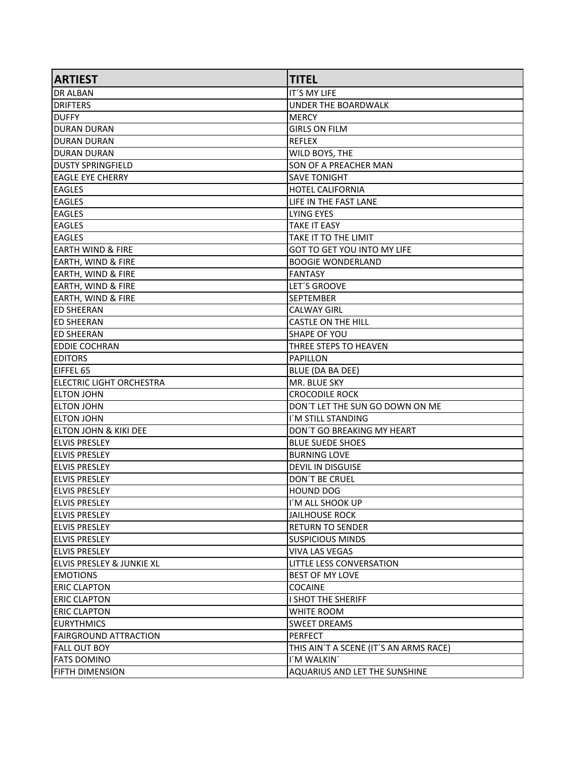| <b>ARTIEST</b>                  | <b>TITEL</b>                           |
|---------------------------------|----------------------------------------|
| <b>DR ALBAN</b>                 | IT'S MY LIFE                           |
| DRIFTERS                        | UNDER THE BOARDWALK                    |
| <b>DUFFY</b>                    | <b>MERCY</b>                           |
| IDURAN DURAN                    | <b>GIRLS ON FILM</b>                   |
| DURAN DURAN                     | <b>REFLEX</b>                          |
| IDURAN DURAN                    | WILD BOYS, THE                         |
| <b>DUSTY SPRINGFIELD</b>        | SON OF A PREACHER MAN                  |
| <b>EAGLE EYE CHERRY</b>         | <b>SAVE TONIGHT</b>                    |
| <b>EAGLES</b>                   | <b>HOTEL CALIFORNIA</b>                |
| <b>EAGLES</b>                   | LIFE IN THE FAST LANE                  |
| <b>EAGLES</b>                   | <b>LYING EYES</b>                      |
| <b>EAGLES</b>                   | <b>TAKE IT EASY</b>                    |
| <b>EAGLES</b>                   | TAKE IT TO THE LIMIT                   |
| EARTH WIND & FIRE               | GOT TO GET YOU INTO MY LIFE            |
| <b>EARTH, WIND &amp; FIRE</b>   | <b>BOOGIE WONDERLAND</b>               |
| <b>EARTH, WIND &amp; FIRE</b>   | <b>FANTASY</b>                         |
| <b>EARTH, WIND &amp; FIRE</b>   | LET'S GROOVE                           |
| <b>EARTH, WIND &amp; FIRE</b>   | <b>SEPTEMBER</b>                       |
| <b>ED SHEERAN</b>               | <b>CALWAY GIRL</b>                     |
| <b>ED SHEERAN</b>               | <b>CASTLE ON THE HILL</b>              |
| IED SHEERAN                     | <b>SHAPE OF YOU</b>                    |
| <b>EDDIE COCHRAN</b>            | THREE STEPS TO HEAVEN                  |
| <b>EDITORS</b>                  | PAPILLON                               |
| EIFFEL 65                       | BLUE (DA BA DEE)                       |
| <b>ELECTRIC LIGHT ORCHESTRA</b> | MR. BLUE SKY                           |
| <b>ELTON JOHN</b>               | <b>CROCODILE ROCK</b>                  |
| <b>ELTON JOHN</b>               | DON'T LET THE SUN GO DOWN ON ME        |
| <b>IELTON JOHN</b>              | I'M STILL STANDING                     |
| ELTON JOHN & KIKI DEE           | DON'T GO BREAKING MY HEART             |
| <b>ELVIS PRESLEY</b>            | <b>BLUE SUEDE SHOES</b>                |
| ELVIS PRESLEY                   | <b>BURNING LOVE</b>                    |
| <b>ELVIS PRESLEY</b>            | <b>DEVIL IN DISGUISE</b>               |
| <b>ELVIS PRESLEY</b>            | DON'T BE CRUEL                         |
| <b>IELVIS PRESLEY</b>           | <b>HOUND DOG</b>                       |
| <b>ELVIS PRESLEY</b>            | I'M ALL SHOOK UP                       |
| <b>ELVIS PRESLEY</b>            | <b>JAILHOUSE ROCK</b>                  |
| <b>ELVIS PRESLEY</b>            | <b>RETURN TO SENDER</b>                |
| <b>ELVIS PRESLEY</b>            | <b>SUSPICIOUS MINDS</b>                |
| <b>ELVIS PRESLEY</b>            | <b>VIVA LAS VEGAS</b>                  |
| ELVIS PRESLEY & JUNKIE XL       | LITTLE LESS CONVERSATION               |
| <b>EMOTIONS</b>                 | <b>BEST OF MY LOVE</b>                 |
| <b>ERIC CLAPTON</b>             | <b>COCAINE</b>                         |
| <b>ERIC CLAPTON</b>             | I SHOT THE SHERIFF                     |
| <b>ERIC CLAPTON</b>             | WHITE ROOM                             |
| <b>EURYTHMICS</b>               | <b>SWEET DREAMS</b>                    |
| <b>FAIRGROUND ATTRACTION</b>    | <b>PERFECT</b>                         |
| <b>FALL OUT BOY</b>             | THIS AIN'T A SCENE (IT'S AN ARMS RACE) |
| <b>FATS DOMINO</b>              | I'M WALKIN'                            |
|                                 |                                        |
| <b>FIFTH DIMENSION</b>          | AQUARIUS AND LET THE SUNSHINE          |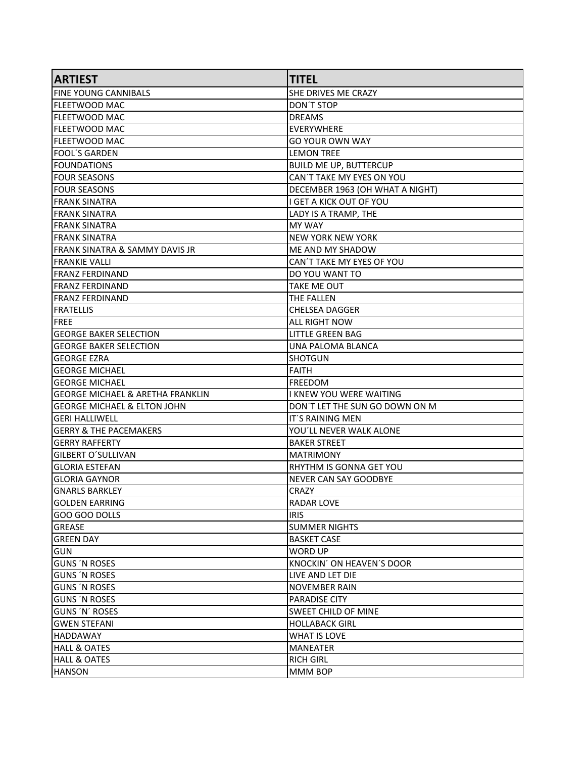| <b>ARTIEST</b>                              | <b>TITEL</b>                    |
|---------------------------------------------|---------------------------------|
| FINE YOUNG CANNIBALS                        | SHE DRIVES ME CRAZY             |
| <b>FLEETWOOD MAC</b>                        | DON'T STOP                      |
| FLEETWOOD MAC                               | <b>DREAMS</b>                   |
| FLEETWOOD MAC                               | <b>EVERYWHERE</b>               |
| <b>FLEETWOOD MAC</b>                        | <b>GO YOUR OWN WAY</b>          |
| lFOOL´S GARDEN                              | <b>LEMON TREE</b>               |
| <b>FOUNDATIONS</b>                          | <b>BUILD ME UP, BUTTERCUP</b>   |
| FOUR SEASONS                                | CAN'T TAKE MY EYES ON YOU       |
| FOUR SEASONS                                | DECEMBER 1963 (OH WHAT A NIGHT) |
| IFRANK SINATRA                              | I GET A KICK OUT OF YOU         |
| IFRANK SINATRA                              | LADY IS A TRAMP, THE            |
| <b>FRANK SINATRA</b>                        | <b>MY WAY</b>                   |
| FRANK SINATRA                               | <b>NEW YORK NEW YORK</b>        |
| FRANK SINATRA & SAMMY DAVIS JR              | ME AND MY SHADOW                |
| <b>FRANKIE VALLI</b>                        | CAN'T TAKE MY EYES OF YOU       |
| IFRANZ FERDINAND                            | DO YOU WANT TO                  |
| <b>FRANZ FERDINAND</b>                      | <b>TAKE ME OUT</b>              |
| IFRANZ FERDINAND                            | THE FALLEN                      |
| FRATELLIS                                   | <b>CHELSEA DAGGER</b>           |
| FREE                                        | ALL RIGHT NOW                   |
| <b>lGEORGE BAKER SELECTION</b>              | <b>LITTLE GREEN BAG</b>         |
| <b>GEORGE BAKER SELECTION</b>               | UNA PALOMA BLANCA               |
| GEORGE EZRA                                 | <b>SHOTGUN</b>                  |
| lGEORGE MICHAEL                             | <b>FAITH</b>                    |
| lGEORGE MICHAEL                             | <b>FREEDOM</b>                  |
| <b>GEORGE MICHAEL &amp; ARETHA FRANKLIN</b> | I KNEW YOU WERE WAITING         |
| GEORGE MICHAEL & ELTON JOHN                 | DON'T LET THE SUN GO DOWN ON M  |
| <b>GERI HALLIWELL</b>                       | IT'S RAINING MEN                |
| <b>GERRY &amp; THE PACEMAKERS</b>           | YOU'LL NEVER WALK ALONE         |
| IGERRY RAFFERTY                             | <b>BAKER STREET</b>             |
| GILBERT O´SULLIVAN                          | <b>MATRIMONY</b>                |
| <b>GLORIA ESTEFAN</b>                       | RHYTHM IS GONNA GET YOU         |
| GLORIA GAYNOR                               | <b>NEVER CAN SAY GOODBYE</b>    |
| <b>GNARLS BARKLEY</b>                       | <b>CRAZY</b>                    |
| <b>GOLDEN EARRING</b>                       | <b>RADAR LOVE</b>               |
| IGOO GOO DOLLS                              | <b>IRIS</b>                     |
| GREASE                                      | <b>SUMMER NIGHTS</b>            |
| <b>GREEN DAY</b>                            | <b>BASKET CASE</b>              |
| <b>GUN</b>                                  | WORD UP                         |
| <b>GUNS 'N ROSES</b>                        | KNOCKIN' ON HEAVEN'S DOOR       |
| <b>GUNS 'N ROSES</b>                        | LIVE AND LET DIE                |
| <b>GUNS 'N ROSES</b>                        | <b>NOVEMBER RAIN</b>            |
| <b>GUNS 'N ROSES</b>                        | <b>PARADISE CITY</b>            |
| <b>GUNS 'N' ROSES</b>                       | <b>SWEET CHILD OF MINE</b>      |
| <b>GWEN STEFANI</b>                         | <b>HOLLABACK GIRL</b>           |
| HADDAWAY                                    | <b>WHAT IS LOVE</b>             |
| <b>HALL &amp; OATES</b>                     | <b>MANEATER</b>                 |
| HALL & OATES                                | <b>RICH GIRL</b>                |
| <b>HANSON</b>                               | MMM BOP                         |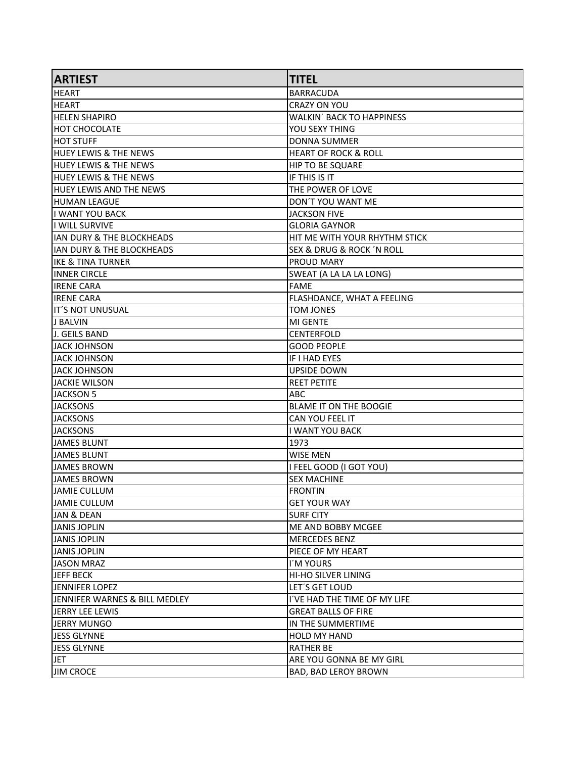| <b>ARTIEST</b>                   | <b>TITEL</b>                            |
|----------------------------------|-----------------------------------------|
| HEART                            | <b>BARRACUDA</b>                        |
| HEART                            | CRAZY ON YOU                            |
| <b>HELEN SHAPIRO</b>             | <b>WALKIN' BACK TO HAPPINESS</b>        |
| <b>HOT CHOCOLATE</b>             | YOU SEXY THING                          |
| HOT STUFF                        | <b>DONNA SUMMER</b>                     |
| <b>HUEY LEWIS &amp; THE NEWS</b> | <b>HEART OF ROCK &amp; ROLL</b>         |
| <b>HUEY LEWIS &amp; THE NEWS</b> | <b>HIP TO BE SQUARE</b>                 |
| <b>HUEY LEWIS &amp; THE NEWS</b> | IF THIS IS IT                           |
| <b>HUEY LEWIS AND THE NEWS</b>   | THE POWER OF LOVE                       |
| <b>HUMAN LEAGUE</b>              | DON'T YOU WANT ME                       |
| I WANT YOU BACK                  | <b>JACKSON FIVE</b>                     |
| I WILL SURVIVE                   | <b>GLORIA GAYNOR</b>                    |
| IAN DURY & THE BLOCKHEADS        | HIT ME WITH YOUR RHYTHM STICK           |
| IAN DURY & THE BLOCKHEADS        | <b>SEX &amp; DRUG &amp; ROCK N ROLL</b> |
| IKE & TINA TURNER                | <b>PROUD MARY</b>                       |
| IINNER CIRCLE                    | SWEAT (A LA LA LA LONG)                 |
| <b>IRENE CARA</b>                | <b>FAME</b>                             |
| IRENE CARA                       | FLASHDANCE, WHAT A FEELING              |
| lit´S NOT UNUSUAL                | <b>TOM JONES</b>                        |
| <b>J BALVIN</b>                  | <b>MI GENTE</b>                         |
| IJ. GEILS BAND                   | <b>CENTERFOLD</b>                       |
| JACK JOHNSON                     | <b>GOOD PEOPLE</b>                      |
| JJACK JOHNSON                    | IF I HAD EYES                           |
| <b>JACK JOHNSON</b>              | <b>UPSIDE DOWN</b>                      |
| JACKIE WILSON                    | <b>REET PETITE</b>                      |
| JACKSON 5                        | ABC                                     |
| <b>JACKSONS</b>                  | BLAME IT ON THE BOOGIE                  |
| <b>JACKSONS</b>                  | CAN YOU FEEL IT                         |
| <b>JACKSONS</b>                  | <b>I WANT YOU BACK</b>                  |
| <b>JAMES BLUNT</b>               | 1973                                    |
| JAMES BLUNT                      | WISE MEN                                |
| JAMES BROWN                      | I FEEL GOOD (I GOT YOU)                 |
| JAMES BROWN                      | <b>SEX MACHINE</b>                      |
| JAMIE CULLUM                     | <b>FRONTIN</b>                          |
| JAMIE CULLUM                     | <b>GET YOUR WAY</b>                     |
| JAN & DEAN                       | <b>SURF CITY</b>                        |
| JANIS JOPLIN                     | ME AND BOBBY MCGEE                      |
| JANIS JOPLIN                     | <b>MERCEDES BENZ</b>                    |
| JANIS JOPLIN                     | PIECE OF MY HEART                       |
| JASON MRAZ                       | I'M YOURS                               |
| JEFF BECK                        | HI-HO SILVER LINING                     |
| JENNIFER LOPEZ                   | LET'S GET LOUD                          |
| JENNIFER WARNES & BILL MEDLEY    | I'VE HAD THE TIME OF MY LIFE            |
| JERRY LEE LEWIS                  | <b>GREAT BALLS OF FIRE</b>              |
| JERRY MUNGO                      | IN THE SUMMERTIME                       |
| JESS GLYNNE                      | <b>HOLD MY HAND</b>                     |
| JESS GLYNNE                      | <b>RATHER BE</b>                        |
| <b>JET</b>                       | ARE YOU GONNA BE MY GIRL                |
| <b>JIM CROCE</b>                 | BAD, BAD LEROY BROWN                    |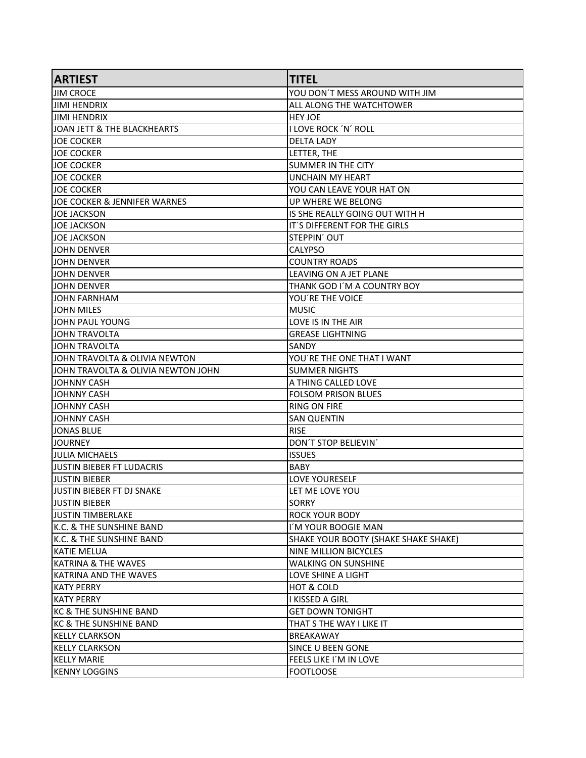| <b>ARTIEST</b>                     | <b>TITEL</b>                         |
|------------------------------------|--------------------------------------|
| IJIM CROCE                         | YOU DON'T MESS AROUND WITH JIM       |
| JIMI HENDRIX                       | ALL ALONG THE WATCHTOWER             |
| <b>JIMI HENDRIX</b>                | <b>HEY JOE</b>                       |
| JOAN JETT & THE BLACKHEARTS        | I LOVE ROCK 'N' ROLL                 |
| <b>JOE COCKER</b>                  | <b>DELTA LADY</b>                    |
| <b>JOE COCKER</b>                  | LETTER, THE                          |
| <b>JOE COCKER</b>                  | <b>SUMMER IN THE CITY</b>            |
| <b>JOE COCKER</b>                  | <b>UNCHAIN MY HEART</b>              |
| <b>JOE COCKER</b>                  | YOU CAN LEAVE YOUR HAT ON            |
| JOE COCKER & JENNIFER WARNES       | UP WHERE WE BELONG                   |
| JOE JACKSON                        | IS SHE REALLY GOING OUT WITH H       |
| <b>JOE JACKSON</b>                 | IT'S DIFFERENT FOR THE GIRLS         |
| <b>JOE JACKSON</b>                 | STEPPIN' OUT                         |
| JOHN DENVER                        | <b>CALYPSO</b>                       |
| JOHN DENVER                        | <b>COUNTRY ROADS</b>                 |
| ljohn denver                       | LEAVING ON A JET PLANE               |
| IJOHN DENVER                       | THANK GOD I'M A COUNTRY BOY          |
| JOHN FARNHAM                       | YOU'RE THE VOICE                     |
| JOHN MILES                         | <b>MUSIC</b>                         |
| JOHN PAUL YOUNG                    | LOVE IS IN THE AIR                   |
| IJOHN TRAVOLTA                     | <b>GREASE LIGHTNING</b>              |
| ljohn travolta                     | SANDY                                |
| JOHN TRAVOLTA & OLIVIA NEWTON      | YOU'RE THE ONE THAT I WANT           |
| JOHN TRAVOLTA & OLIVIA NEWTON JOHN | SUMMER NIGHTS                        |
| IJOHNNY CASH                       | A THING CALLED LOVE                  |
| IJOHNNY CASH                       | <b>FOLSOM PRISON BLUES</b>           |
| JOHNNY CASH                        | <b>RING ON FIRE</b>                  |
| IJOHNNY CASH                       | <b>SAN QUENTIN</b>                   |
| JONAS BLUE                         | <b>RISE</b>                          |
| <b>JOURNEY</b>                     | DON'T STOP BELIEVIN'                 |
| IJULIA MICHAELS                    | <b>ISSUES</b>                        |
| JUSTIN BIEBER FT LUDACRIS          | <b>BABY</b>                          |
| <b>JUSTIN BIEBER</b>               | LOVE YOURESELF                       |
| lJUSTIN BIEBER FT DJ SNAKE         | LET ME LOVE YOU                      |
| JUSTIN BIEBER                      | <b>SORRY</b>                         |
| lJUSTIN TIMBERLAKE                 | <b>ROCK YOUR BODY</b>                |
| K.C. & THE SUNSHINE BAND           | I'M YOUR BOOGIE MAN                  |
| K.C. & THE SUNSHINE BAND           | SHAKE YOUR BOOTY (SHAKE SHAKE SHAKE) |
| KATIE MELUA                        | NINE MILLION BICYCLES                |
| <b>KATRINA &amp; THE WAVES</b>     | <b>WALKING ON SUNSHINE</b>           |
| KATRINA AND THE WAVES              | LOVE SHINE A LIGHT                   |
| <b>KATY PERRY</b>                  | HOT & COLD                           |
| KATY PERRY                         | I KISSED A GIRL                      |
| KC & THE SUNSHINE BAND             | <b>GET DOWN TONIGHT</b>              |
| KC & THE SUNSHINE BAND             | THAT S THE WAY I LIKE IT             |
| KELLY CLARKSON                     | <b>BREAKAWAY</b>                     |
| <b>KELLY CLARKSON</b>              | <b>SINCE U BEEN GONE</b>             |
| <b>KELLY MARIE</b>                 | FEELS LIKE I'M IN LOVE               |
| <b>KENNY LOGGINS</b>               | <b>FOOTLOOSE</b>                     |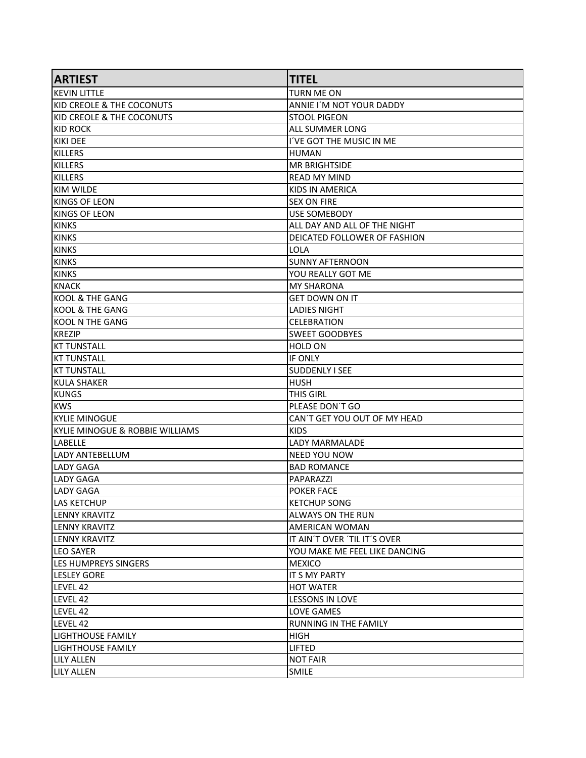| <b>ARTIEST</b>                       | <b>TITEL</b>                  |
|--------------------------------------|-------------------------------|
| IKEVIN LITTLE                        | <b>TURN ME ON</b>             |
| <b>KID CREOLE &amp; THE COCONUTS</b> | ANNIE I'M NOT YOUR DADDY      |
| KID CREOLE & THE COCONUTS            | <b>STOOL PIGEON</b>           |
| KID ROCK                             | ALL SUMMER LONG               |
| KIKI DEE                             | I'VE GOT THE MUSIC IN ME      |
| KILLERS                              | <b>HUMAN</b>                  |
| KILLERS                              | <b>MR BRIGHTSIDE</b>          |
| KILLERS                              | <b>READ MY MIND</b>           |
| IKIM WILDE                           | KIDS IN AMERICA               |
| IKINGS OF LEON                       | <b>SEX ON FIRE</b>            |
| KINGS OF LEON                        | <b>USE SOMEBODY</b>           |
| KINKS                                | ALL DAY AND ALL OF THE NIGHT  |
| KINKS                                | DEICATED FOLLOWER OF FASHION  |
| KINKS                                | LOLA                          |
| KINKS                                | <b>SUNNY AFTERNOON</b>        |
| KINKS                                | YOU REALLY GOT ME             |
| KNACK                                | <b>MY SHARONA</b>             |
| KOOL & THE GANG                      | <b>GET DOWN ON IT</b>         |
| KOOL & THE GANG                      | LADIES NIGHT                  |
| KOOL N THE GANG                      | <b>CELEBRATION</b>            |
| KREZIP                               | <b>SWEET GOODBYES</b>         |
| KT TUNSTALL                          | <b>HOLD ON</b>                |
| <b>KT TUNSTALL</b>                   | IF ONLY                       |
| <b>KT TUNSTALL</b>                   | <b>SUDDENLY I SEE</b>         |
| KULA SHAKER                          | <b>HUSH</b>                   |
| KUNGS                                | <b>THIS GIRL</b>              |
| <b>KWS</b>                           | PLEASE DON'T GO               |
| ikylie minogue                       | CAN'T GET YOU OUT OF MY HEAD  |
| KYLIE MINOGUE & ROBBIE WILLIAMS      | <b>KIDS</b>                   |
| <b>LABELLE</b>                       | <b>LADY MARMALADE</b>         |
| LADY ANTEBELLUM                      | <b>NEED YOU NOW</b>           |
| LADY GAGA                            | <b>BAD ROMANCE</b>            |
| LADY GAGA                            | PAPARAZZI                     |
| LADY GAGA                            | <b>POKER FACE</b>             |
| <b>LAS KETCHUP</b>                   | <b>KETCHUP SONG</b>           |
| ILENNY KRAVITZ                       | ALWAYS ON THE RUN             |
| <b>LENNY KRAVITZ</b>                 | <b>AMERICAN WOMAN</b>         |
| <b>LENNY KRAVITZ</b>                 | IT AIN'T OVER 'TIL IT'S OVER  |
| <b>LEO SAYER</b>                     | YOU MAKE ME FEEL LIKE DANCING |
| <b>LES HUMPREYS SINGERS</b>          | <b>MEXICO</b>                 |
| <b>LESLEY GORE</b>                   | IT S MY PARTY                 |
| LEVEL 42                             | <b>HOT WATER</b>              |
| LEVEL 42                             | <b>LESSONS IN LOVE</b>        |
| LEVEL 42                             | LOVE GAMES                    |
| LEVEL 42                             | <b>RUNNING IN THE FAMILY</b>  |
| llighthouse family                   | HIGH                          |
| LIGHTHOUSE FAMILY                    | <b>LIFTED</b>                 |
| <b>LILY ALLEN</b>                    | <b>NOT FAIR</b>               |
| <b>LILY ALLEN</b>                    | <b>SMILE</b>                  |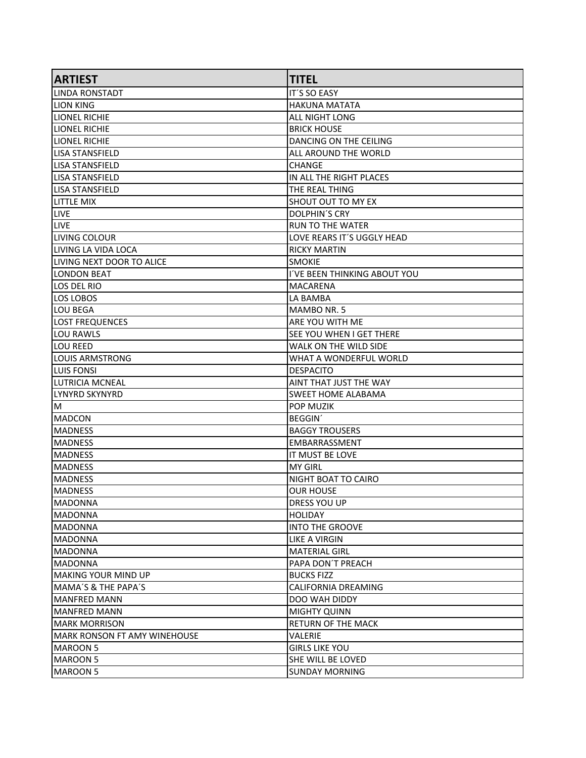| <b>ARTIEST</b>                | <b>TITEL</b>                    |
|-------------------------------|---------------------------------|
| llinda ronstadt               | <b>IT'S SO EASY</b>             |
| LION KING                     | <b>HAKUNA MATATA</b>            |
| <b>LIONEL RICHIE</b>          | ALL NIGHT LONG                  |
| ILIONEL RICHIE                | <b>BRICK HOUSE</b>              |
| <b>LIONEL RICHIE</b>          | DANCING ON THE CEILING          |
| llisa stansfield              | ALL AROUND THE WORLD            |
| <b>LISA STANSFIELD</b>        | <b>CHANGE</b>                   |
| llisa stansfield              | IN ALL THE RIGHT PLACES         |
| <b>LISA STANSFIELD</b>        | THE REAL THING                  |
| LITTLE MIX                    | SHOUT OUT TO MY EX              |
| <b>LIVE</b>                   | <b>DOLPHIN'S CRY</b>            |
| <b>LIVE</b>                   | <b>RUN TO THE WATER</b>         |
| LIVING COLOUR                 | LOVE REARS IT'S UGGLY HEAD      |
| LIVING LA VIDA LOCA           | <b>RICKY MARTIN</b>             |
| lliving next door to alice    | <b>SMOKIE</b>                   |
| <b>ILONDON BEAT</b>           | I'VE BEEN THINKING ABOUT YOU    |
| LOS DEL RIO                   | <b>MACARENA</b>                 |
| LOS LOBOS                     | LA BAMBA                        |
| LOU BEGA                      | MAMBO NR. 5                     |
| <b>LOST FREQUENCES</b>        | ARE YOU WITH ME                 |
| llou rawls                    | <b>SEE YOU WHEN I GET THERE</b> |
| LOU REED                      | WALK ON THE WILD SIDE           |
| llouis ARMSTRONG              | WHAT A WONDERFUL WORLD          |
| <b>LUIS FONSI</b>             | <b>DESPACITO</b>                |
| ILUTRICIA MCNEAL              | AINT THAT JUST THE WAY          |
| llynyrd skynyrd               | SWEET HOME ALABAMA              |
| ΙM                            | POP MUZIK                       |
| MADCON                        | <b>BEGGIN</b>                   |
| <b>MADNESS</b>                | <b>BAGGY TROUSERS</b>           |
| <b>MADNESS</b>                | <b>EMBARRASSMENT</b>            |
| <b>IMADNESS</b>               | IT MUST BE LOVE                 |
| <b>MADNESS</b>                | <b>MY GIRL</b>                  |
| <b>MADNESS</b>                | NIGHT BOAT TO CAIRO             |
| <b>MADNESS</b>                | <b>OUR HOUSE</b>                |
| MADONNA                       | <b>DRESS YOU UP</b>             |
| IMADONNA                      | <b>HOLIDAY</b>                  |
| MADONNA                       | <b>INTO THE GROOVE</b>          |
| MADONNA                       | <b>LIKE A VIRGIN</b>            |
| MADONNA                       | <b>MATERIAL GIRL</b>            |
| <b>MADONNA</b>                | PAPA DON'T PREACH               |
| MAKING YOUR MIND UP           | <b>BUCKS FIZZ</b>               |
| MAMA'S & THE PAPA'S           | CALIFORNIA DREAMING             |
| <b>MANFRED MANN</b>           | DOO WAH DIDDY                   |
| MANFRED MANN                  | <b>MIGHTY QUINN</b>             |
| <b>MARK MORRISON</b>          | <b>RETURN OF THE MACK</b>       |
| IMARK RONSON FT AMY WINEHOUSE | <b>VALERIE</b>                  |
| MAROON 5                      | <b>GIRLS LIKE YOU</b>           |
| MAROON 5                      | SHE WILL BE LOVED               |
| MAROON 5                      | <b>SUNDAY MORNING</b>           |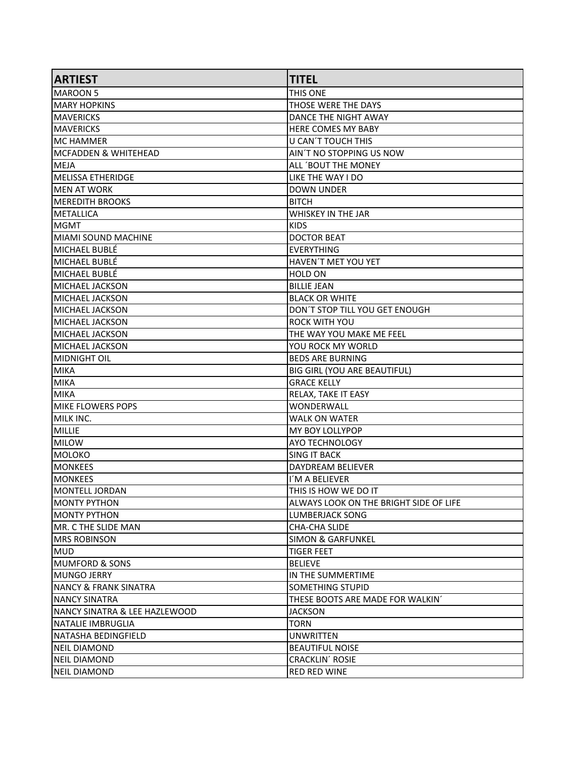| <b>ARTIEST</b>                   | <b>TITEL</b>                           |
|----------------------------------|----------------------------------------|
| <b>IMAROON 5</b>                 | THIS ONE                               |
| <b>MARY HOPKINS</b>              | THOSE WERE THE DAYS                    |
| <b>MAVERICKS</b>                 | DANCE THE NIGHT AWAY                   |
| <b>MAVERICKS</b>                 | HERE COMES MY BABY                     |
| MC HAMMER                        | U CAN'T TOUCH THIS                     |
| IMCFADDEN & WHITEHEAD            | AIN'T NO STOPPING US NOW               |
| MEJA                             | ALL 'BOUT THE MONEY                    |
| MELISSA ETHERIDGE                | LIKE THE WAY I DO                      |
| IMEN AT WORK                     | <b>DOWN UNDER</b>                      |
| <b>IMEREDITH BROOKS</b>          | <b>BITCH</b>                           |
| <b>IMETALLICA</b>                | WHISKEY IN THE JAR                     |
| MGMT                             | <b>KIDS</b>                            |
| MIAMI SOUND MACHINE              | <b>DOCTOR BEAT</b>                     |
| lMICHAEL BUBLÉ                   | <b>EVERYTHING</b>                      |
| lMICHAEL BUBLÉ                   | HAVEN'T MET YOU YET                    |
| MICHAEL BUBLÉ                    | <b>HOLD ON</b>                         |
| MICHAEL JACKSON                  | <b>BILLIE JEAN</b>                     |
| İMICHAEL JACKSON                 | <b>BLACK OR WHITE</b>                  |
| MICHAEL JACKSON                  | DON'T STOP TILL YOU GET ENOUGH         |
| MICHAEL JACKSON                  | <b>ROCK WITH YOU</b>                   |
| MICHAEL JACKSON                  | THE WAY YOU MAKE ME FEEL               |
| MICHAEL JACKSON                  | YOU ROCK MY WORLD                      |
| MIDNIGHT OIL                     | <b>BEDS ARE BURNING</b>                |
| MIKA                             | BIG GIRL (YOU ARE BEAUTIFUL)           |
| MIKA                             | <b>GRACE KELLY</b>                     |
| MIKA                             | RELAX, TAKE IT EASY                    |
| MIKE FLOWERS POPS                | WONDERWALL                             |
| MILK INC.                        | <b>WALK ON WATER</b>                   |
| MILLIE                           | <b>MY BOY LOLLYPOP</b>                 |
| <b>MILOW</b>                     | <b>AYO TECHNOLOGY</b>                  |
| MOLOKO                           | <b>SING IT BACK</b>                    |
| <b>MONKEES</b>                   | DAYDREAM BELIEVER                      |
| IMONKEES                         | I'M A BELIEVER                         |
| MONTELL JORDAN                   | THIS IS HOW WE DO IT                   |
| MONTY PYTHON                     | ALWAYS LOOK ON THE BRIGHT SIDE OF LIFE |
| IMONTY PYTHON                    | LUMBERJACK SONG                        |
| MR. C THE SLIDE MAN              | CHA-CHA SLIDE                          |
| IMRS ROBINSON                    | <b>SIMON &amp; GARFUNKEL</b>           |
| MUD                              | <b>TIGER FEET</b>                      |
| IMUMFORD & SONS                  | <b>BELIEVE</b>                         |
| MUNGO JERRY                      | IN THE SUMMERTIME                      |
| <b>NANCY &amp; FRANK SINATRA</b> | SOMETHING STUPID                       |
| INANCY SINATRA                   | THESE BOOTS ARE MADE FOR WALKIN'       |
| INANCY SINATRA & LEE HAZLEWOOD   | <b>JACKSON</b>                         |
| NATALIE IMBRUGLIA                | <b>TORN</b>                            |
| İNATASHA BEDINGFIELD             | <b>UNWRITTEN</b>                       |
| NEIL DIAMOND                     | <b>BEAUTIFUL NOISE</b>                 |
| NEIL DIAMOND                     | CRACKLIN' ROSIE                        |
| NEIL DIAMOND                     | <b>RED RED WINE</b>                    |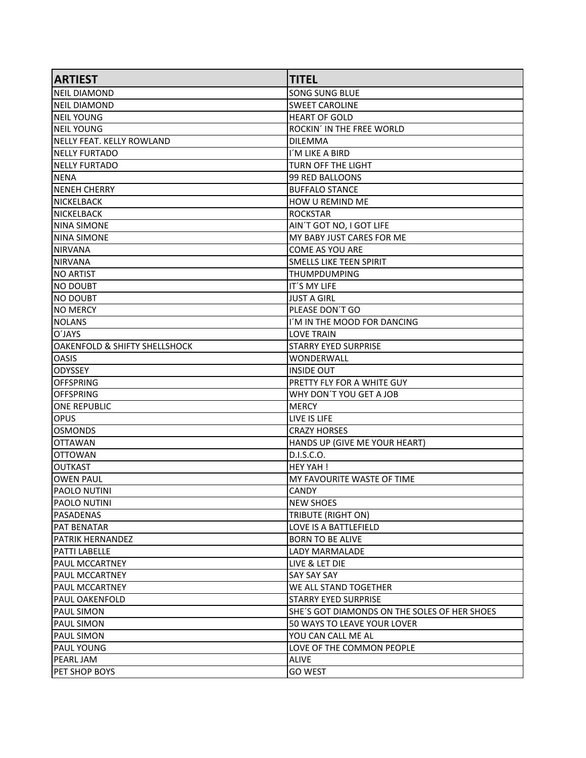| <b>ARTIEST</b>                | <b>TITEL</b>                                 |
|-------------------------------|----------------------------------------------|
| <b>NEIL DIAMOND</b>           | <b>SONG SUNG BLUE</b>                        |
| <b>NEIL DIAMOND</b>           | <b>SWEET CAROLINE</b>                        |
| NEIL YOUNG                    | <b>HEART OF GOLD</b>                         |
| <b>INEIL YOUNG</b>            | ROCKIN' IN THE FREE WORLD                    |
| NELLY FEAT. KELLY ROWLAND     | <b>DILEMMA</b>                               |
| NELLY FURTADO                 | I'M LIKE A BIRD                              |
| NELLY FURTADO                 | <b>TURN OFF THE LIGHT</b>                    |
| NENA                          | 99 RED BALLOONS                              |
| <b>NENEH CHERRY</b>           | <b>BUFFALO STANCE</b>                        |
| <b>NICKELBACK</b>             | HOW U REMIND ME                              |
| <b>NICKELBACK</b>             | <b>ROCKSTAR</b>                              |
| NINA SIMONE                   | AIN'T GOT NO, I GOT LIFE                     |
| ININA SIMONE                  | MY BABY JUST CARES FOR ME                    |
| NIRVANA                       | <b>COME AS YOU ARE</b>                       |
| <b>NIRVANA</b>                | <b>SMELLS LIKE TEEN SPIRIT</b>               |
| INO ARTIST                    | <b>THUMPDUMPING</b>                          |
| INO DOUBT                     | IT'S MY LIFE                                 |
| INO DOUBT                     | <b>JUST A GIRL</b>                           |
| <b>NO MERCY</b>               | PLEASE DON'T GO                              |
| NOLANS                        | I'M IN THE MOOD FOR DANCING                  |
| O'JAYS                        | <b>LOVE TRAIN</b>                            |
| OAKENFOLD & SHIFTY SHELLSHOCK | <b>STARRY EYED SURPRISE</b>                  |
| lOASIS                        | WONDERWALL                                   |
| lODYSSEY                      | <b>INSIDE OUT</b>                            |
| <b>OFFSPRING</b>              | PRETTY FLY FOR A WHITE GUY                   |
| <b>OFFSPRING</b>              | WHY DON'T YOU GET A JOB                      |
| ONE REPUBLIC                  | <b>MERCY</b>                                 |
| <b>OPUS</b>                   | LIVE IS LIFE                                 |
| OSMONDS                       | <b>CRAZY HORSES</b>                          |
| <b>OTTAWAN</b>                | HANDS UP (GIVE ME YOUR HEART)                |
| <b>OTTOWAN</b>                | D.I.S.C.O.                                   |
| <b>OUTKAST</b>                | <b>HEY YAH!</b>                              |
| <b>OWEN PAUL</b>              | MY FAVOURITE WASTE OF TIME                   |
| PAOLO NUTINI                  | <b>CANDY</b>                                 |
| PAOLO NUTINI                  | <b>NEW SHOES</b>                             |
| PASADENAS                     | TRIBUTE (RIGHT ON)                           |
| <b>PAT BENATAR</b>            | LOVE IS A BATTLEFIELD                        |
| PATRIK HERNANDEZ              | <b>BORN TO BE ALIVE</b>                      |
| <b>PATTI LABELLE</b>          | <b>LADY MARMALADE</b>                        |
| PAUL MCCARTNEY                | LIVE & LET DIE                               |
| <b>PAUL MCCARTNEY</b>         | <b>SAY SAY SAY</b>                           |
| <b>PAUL MCCARTNEY</b>         | WE ALL STAND TOGETHER                        |
| PAUL OAKENFOLD                | <b>STARRY EYED SURPRISE</b>                  |
| <b>PAUL SIMON</b>             | SHE'S GOT DIAMONDS ON THE SOLES OF HER SHOES |
| PAUL SIMON                    | 50 WAYS TO LEAVE YOUR LOVER                  |
| PAUL SIMON                    | YOU CAN CALL ME AL                           |
| PAUL YOUNG                    | LOVE OF THE COMMON PEOPLE                    |
| PEARL JAM                     | ALIVE                                        |
| PET SHOP BOYS                 | <b>GO WEST</b>                               |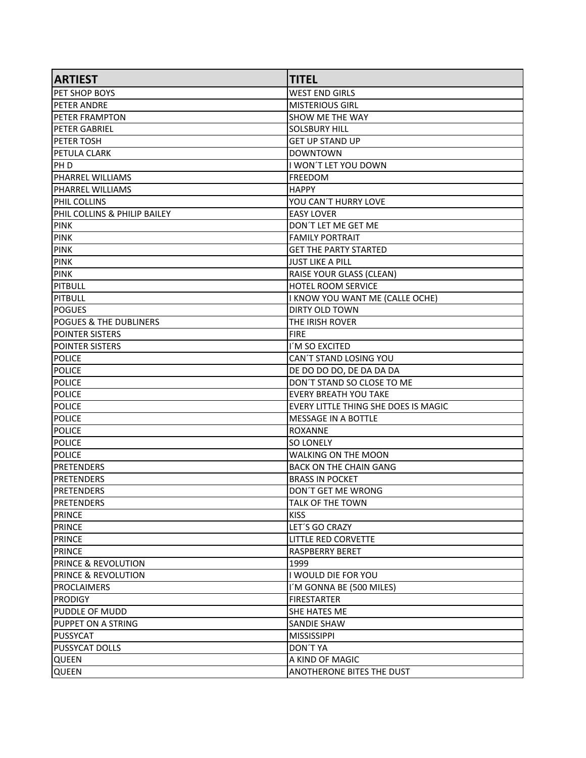| <b>ARTIEST</b>                    | <b>TITEL</b>                         |
|-----------------------------------|--------------------------------------|
| PET SHOP BOYS                     | <b>WEST END GIRLS</b>                |
| <b>PETER ANDRE</b>                | <b>MISTERIOUS GIRL</b>               |
| <b>PETER FRAMPTON</b>             | <b>SHOW ME THE WAY</b>               |
| <b>PETER GABRIEL</b>              | <b>SOLSBURY HILL</b>                 |
| <b>PETER TOSH</b>                 | <b>GET UP STAND UP</b>               |
| PETULA CLARK                      | <b>DOWNTOWN</b>                      |
| IPH D                             | I WON'T LET YOU DOWN                 |
| PHARREL WILLIAMS                  | <b>FREEDOM</b>                       |
| PHARREL WILLIAMS                  | <b>HAPPY</b>                         |
| PHIL COLLINS                      | YOU CAN'T HURRY LOVE                 |
| PHIL COLLINS & PHILIP BAILEY      | <b>EASY LOVER</b>                    |
| <b>PINK</b>                       | DON'T LET ME GET ME                  |
| <b>PINK</b>                       | <b>FAMILY PORTRAIT</b>               |
| <b>PINK</b>                       | <b>GET THE PARTY STARTED</b>         |
| <b>PINK</b>                       | <b>JUST LIKE A PILL</b>              |
| <b>PINK</b>                       | RAISE YOUR GLASS (CLEAN)             |
| PITBULL                           | <b>HOTEL ROOM SERVICE</b>            |
| PITBULL                           | I KNOW YOU WANT ME (CALLE OCHE)      |
| <b>POGUES</b>                     | <b>DIRTY OLD TOWN</b>                |
| <b>POGUES &amp; THE DUBLINERS</b> | THE IRISH ROVER                      |
| <b>POINTER SISTERS</b>            | <b>FIRE</b>                          |
| <b>POINTER SISTERS</b>            | I'M SO EXCITED                       |
| <b>POLICE</b>                     | CAN'T STAND LOSING YOU               |
| <b>POLICE</b>                     | DE DO DO DO, DE DA DA DA             |
| <b>POLICE</b>                     | DON'T STAND SO CLOSE TO ME           |
| POLICE                            | <b>EVERY BREATH YOU TAKE</b>         |
| <b>POLICE</b>                     | EVERY LITTLE THING SHE DOES IS MAGIC |
| <b>POLICE</b>                     | <b>MESSAGE IN A BOTTLE</b>           |
| <b>POLICE</b>                     | <b>ROXANNE</b>                       |
| <b>POLICE</b>                     | <b>SO LONELY</b>                     |
| <b>POLICE</b>                     | WALKING ON THE MOON                  |
| <b>PRETENDERS</b>                 | <b>BACK ON THE CHAIN GANG</b>        |
| <b>PRETENDERS</b>                 | <b>BRASS IN POCKET</b>               |
| <b>PRETENDERS</b>                 | DON'T GET ME WRONG                   |
| PRETENDERS                        | <b>TALK OF THE TOWN</b>              |
| PRINCE                            | <b>KISS</b>                          |
| PRINCE                            | LET'S GO CRAZY                       |
| PRINCE                            | <b>LITTLE RED CORVETTE</b>           |
| PRINCE                            | <b>RASPBERRY BERET</b>               |
| <b>PRINCE &amp; REVOLUTION</b>    | 1999                                 |
| <b>PRINCE &amp; REVOLUTION</b>    | I WOULD DIE FOR YOU                  |
| <b>PROCLAIMERS</b>                | I'M GONNA BE (500 MILES)             |
| <b>PRODIGY</b>                    | <b>FIRESTARTER</b>                   |
| PUDDLE OF MUDD                    | SHE HATES ME                         |
| <b>PUPPET ON A STRING</b>         | <b>SANDIE SHAW</b>                   |
| PUSSYCAT                          | <b>MISSISSIPPI</b>                   |
| <b>PUSSYCAT DOLLS</b>             | DON'T YA                             |
| <b>QUEEN</b>                      | A KIND OF MAGIC                      |
| <b>QUEEN</b>                      | ANOTHERONE BITES THE DUST            |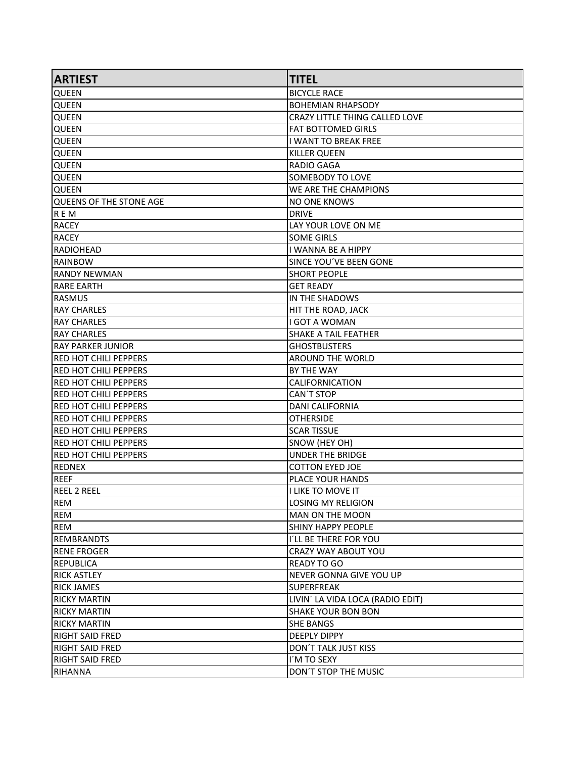| <b>ARTIEST</b>                | <b>TITEL</b>                     |
|-------------------------------|----------------------------------|
| <b>QUEEN</b>                  | <b>BICYCLE RACE</b>              |
| <b>QUEEN</b>                  | <b>BOHEMIAN RHAPSODY</b>         |
| <b>QUEEN</b>                  | CRAZY LITTLE THING CALLED LOVE   |
| <b>QUEEN</b>                  | <b>FAT BOTTOMED GIRLS</b>        |
| <b>QUEEN</b>                  | <b>I WANT TO BREAK FREE</b>      |
| <b>QUEEN</b>                  | <b>KILLER QUEEN</b>              |
| <b>QUEEN</b>                  | <b>RADIO GAGA</b>                |
| <b>QUEEN</b>                  | <b>SOMEBODY TO LOVE</b>          |
| <b>QUEEN</b>                  | WE ARE THE CHAMPIONS             |
| QUEENS OF THE STONE AGE       | <b>NO ONE KNOWS</b>              |
| R E M                         | <b>DRIVE</b>                     |
| <b>RACEY</b>                  | LAY YOUR LOVE ON ME              |
| RACEY                         | <b>SOME GIRLS</b>                |
| RADIOHEAD                     | <b>I WANNA BE A HIPPY</b>        |
| <b>RAINBOW</b>                | SINCE YOU'VE BEEN GONE           |
| lrandy newman                 | <b>SHORT PEOPLE</b>              |
| <b>RARE EARTH</b>             | <b>GET READY</b>                 |
| RASMUS                        | IN THE SHADOWS                   |
| <b>RAY CHARLES</b>            | <b>HIT THE ROAD, JACK</b>        |
| <b>RAY CHARLES</b>            | <b>I GOT A WOMAN</b>             |
| <b>RAY CHARLES</b>            | <b>SHAKE A TAIL FEATHER</b>      |
| RAY PARKER JUNIOR             | <b>GHOSTBUSTERS</b>              |
| RED HOT CHILI PEPPERS         | AROUND THE WORLD                 |
| IRED HOT CHILI PEPPERS        | BY THE WAY                       |
| <b>IRED HOT CHILI PEPPERS</b> | <b>CALIFORNICATION</b>           |
| <b>IRED HOT CHILI PEPPERS</b> | <b>CAN'T STOP</b>                |
| <b>RED HOT CHILI PEPPERS</b>  | <b>DANI CALIFORNIA</b>           |
| <b>RED HOT CHILI PEPPERS</b>  | <b>OTHERSIDE</b>                 |
| <b>IRED HOT CHILI PEPPERS</b> | <b>SCAR TISSUE</b>               |
| <b>RED HOT CHILI PEPPERS</b>  | SNOW (HEY OH)                    |
| <b>RED HOT CHILI PEPPERS</b>  | <b>UNDER THE BRIDGE</b>          |
| <b>REDNEX</b>                 | <b>COTTON EYED JOE</b>           |
| <b>REEF</b>                   | PLACE YOUR HANDS                 |
| <b>REEL 2 REEL</b>            | <b>I LIKE TO MOVE IT</b>         |
| <b>REM</b>                    | LOSING MY RELIGION               |
| IREM                          | <b>MAN ON THE MOON</b>           |
| REM                           | <b>SHINY HAPPY PEOPLE</b>        |
| <b>REMBRANDTS</b>             | I'LL BE THERE FOR YOU            |
| RENE FROGER                   | CRAZY WAY ABOUT YOU              |
| REPUBLICA                     | <b>READY TO GO</b>               |
| <b>RICK ASTLEY</b>            | NEVER GONNA GIVE YOU UP          |
| <b>RICK JAMES</b>             | <b>SUPERFREAK</b>                |
| <b>RICKY MARTIN</b>           | LIVIN' LA VIDA LOCA (RADIO EDIT) |
| <b>RICKY MARTIN</b>           | <b>SHAKE YOUR BON BON</b>        |
| <b>RICKY MARTIN</b>           | <b>SHE BANGS</b>                 |
| RIGHT SAID FRED               | <b>DEEPLY DIPPY</b>              |
| <b>RIGHT SAID FRED</b>        | <b>DON'T TALK JUST KISS</b>      |
| <b>RIGHT SAID FRED</b>        | I'M TO SEXY                      |
| RIHANNA                       | DON'T STOP THE MUSIC             |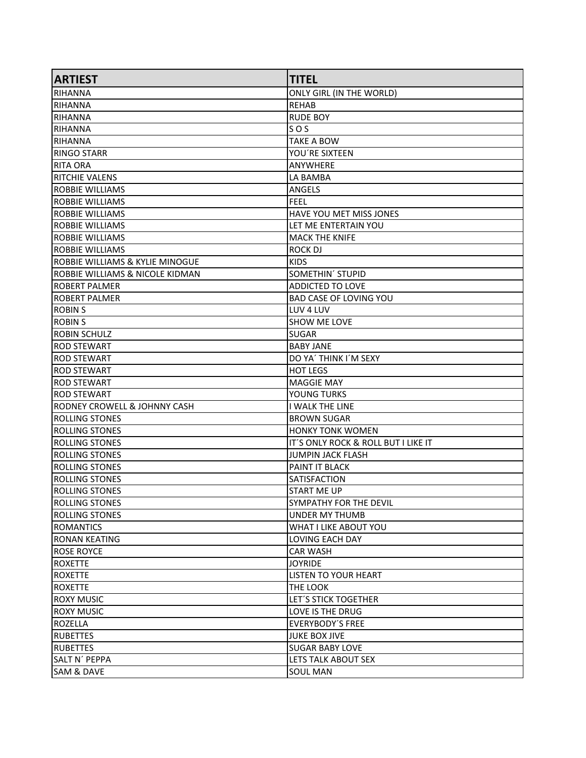| <b>ARTIEST</b>                  | <b>TITEL</b>                        |
|---------------------------------|-------------------------------------|
| <b>RIHANNA</b>                  | ONLY GIRL (IN THE WORLD)            |
| RIHANNA                         | <b>REHAB</b>                        |
| RIHANNA                         | <b>RUDE BOY</b>                     |
| RIHANNA                         | SOS                                 |
| RIHANNA                         | TAKE A BOW                          |
| <b>RINGO STARR</b>              | YOU'RE SIXTEEN                      |
| <b>RITA ORA</b>                 | <b>ANYWHERE</b>                     |
| <b>RITCHIE VALENS</b>           | LA BAMBA                            |
| ROBBIE WILLIAMS                 | <b>ANGELS</b>                       |
| IROBBIE WILLIAMS                | <b>FEEL</b>                         |
| ROBBIE WILLIAMS                 | HAVE YOU MET MISS JONES             |
| <b>ROBBIE WILLIAMS</b>          | LET ME ENTERTAIN YOU                |
| <b>ROBBIE WILLIAMS</b>          | <b>MACK THE KNIFE</b>               |
| ROBBIE WILLIAMS                 | ROCK DJ                             |
| ROBBIE WILLIAMS & KYLIE MINOGUE | <b>KIDS</b>                         |
| ROBBIE WILLIAMS & NICOLE KIDMAN | SOMETHIN' STUPID                    |
| IROBERT PALMER                  | <b>ADDICTED TO LOVE</b>             |
| <b>ROBERT PALMER</b>            | <b>BAD CASE OF LOVING YOU</b>       |
| <b>ROBIN S</b>                  | LUV 4 LUV                           |
| <b>ROBIN S</b>                  | <b>SHOW ME LOVE</b>                 |
| ROBIN SCHULZ                    | <b>SUGAR</b>                        |
| <b>ROD STEWART</b>              | <b>BABY JANE</b>                    |
| <b>ROD STEWART</b>              | DO YA' THINK I'M SEXY               |
| <b>ROD STEWART</b>              | <b>HOT LEGS</b>                     |
| <b>ROD STEWART</b>              | <b>MAGGIE MAY</b>                   |
| <b>ROD STEWART</b>              | YOUNG TURKS                         |
| RODNEY CROWELL & JOHNNY CASH    | <b>I WALK THE LINE</b>              |
| <b>ROLLING STONES</b>           | <b>BROWN SUGAR</b>                  |
| <b>ROLLING STONES</b>           | <b>HONKY TONK WOMEN</b>             |
| <b>ROLLING STONES</b>           | IT'S ONLY ROCK & ROLL BUT I LIKE IT |
| <b>ROLLING STONES</b>           | <b>JUMPIN JACK FLASH</b>            |
| <b>ROLLING STONES</b>           | PAINT IT BLACK                      |
| <b>ROLLING STONES</b>           | SATISFACTION                        |
| <b>ROLLING STONES</b>           | <b>START ME UP</b>                  |
| <b>ROLLING STONES</b>           | SYMPATHY FOR THE DEVIL              |
| <b>IROLLING STONES</b>          | UNDER MY THUMB                      |
| <b>ROMANTICS</b>                | WHAT I LIKE ABOUT YOU               |
| <b>RONAN KEATING</b>            | LOVING EACH DAY                     |
| <b>ROSE ROYCE</b>               | <b>CAR WASH</b>                     |
| ROXETTE                         | <b>JOYRIDE</b>                      |
| ROXETTE                         | <b>LISTEN TO YOUR HEART</b>         |
| <b>ROXETTE</b>                  | THE LOOK                            |
| <b>ROXY MUSIC</b>               | LET'S STICK TOGETHER                |
| <b>ROXY MUSIC</b>               | LOVE IS THE DRUG                    |
| <b>ROZELLA</b>                  | EVERYBODY'S FREE                    |
| <b>RUBETTES</b>                 | <b>JUKE BOX JIVE</b>                |
| <b>RUBETTES</b>                 | <b>SUGAR BABY LOVE</b>              |
| SALT N´ PEPPA                   | LETS TALK ABOUT SEX                 |
| SAM & DAVE                      | SOUL MAN                            |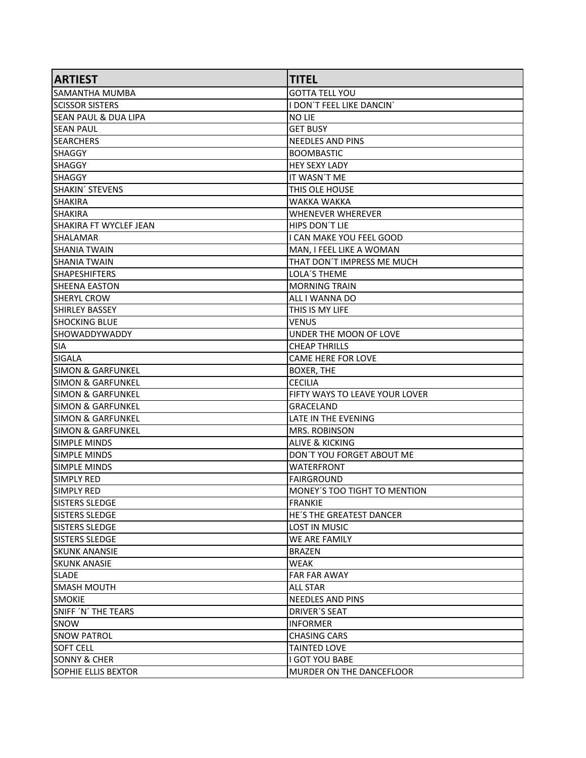| <b>ARTIEST</b>                  | <b>TITEL</b>                    |
|---------------------------------|---------------------------------|
| lsamantha mumba                 | <b>GOTTA TELL YOU</b>           |
| <b>SCISSOR SISTERS</b>          | I DON'T FEEL LIKE DANCIN'       |
| <b>SEAN PAUL &amp; DUA LIPA</b> | NO LIE                          |
| <b>SEAN PAUL</b>                | <b>GET BUSY</b>                 |
| <b>SEARCHERS</b>                | <b>NEEDLES AND PINS</b>         |
| SHAGGY                          | <b>BOOMBASTIC</b>               |
| <b>SHAGGY</b>                   | <b>HEY SEXY LADY</b>            |
| SHAGGY                          | IT WASN'T ME                    |
| SHAKIN´ STEVENS                 | THIS OLE HOUSE                  |
| <b>SHAKIRA</b>                  | WAKKA WAKKA                     |
| <b>SHAKIRA</b>                  | <b>WHENEVER WHEREVER</b>        |
| SHAKIRA FT WYCLEF JEAN          | HIPS DON'T LIE                  |
| ISHALAMAR                       | I CAN MAKE YOU FEEL GOOD        |
| <b>SHANIA TWAIN</b>             | MAN, I FEEL LIKE A WOMAN        |
| <b>ISHANIA TWAIN</b>            | THAT DON'T IMPRESS ME MUCH      |
| <b>SHAPESHIFTERS</b>            | LOLA'S THEME                    |
| <b>SHEENA EASTON</b>            | <b>MORNING TRAIN</b>            |
| <b>SHERYL CROW</b>              | ALL I WANNA DO                  |
| SHIRLEY BASSEY                  | THIS IS MY LIFE                 |
| <b>SHOCKING BLUE</b>            | <b>VENUS</b>                    |
| ISHOWADDYWADDY                  | UNDER THE MOON OF LOVE          |
| <b>SIA</b>                      | <b>CHEAP THRILLS</b>            |
| SIGALA                          | <b>CAME HERE FOR LOVE</b>       |
| <b>SIMON &amp; GARFUNKEL</b>    | <b>BOXER, THE</b>               |
| SIMON & GARFUNKEL               | <b>CECILIA</b>                  |
| lsimon & Garfunkel              | FIFTY WAYS TO LEAVE YOUR LOVER  |
| SIMON & GARFUNKEL               | <b>GRACELAND</b>                |
| SIMON & GARFUNKEL               | LATE IN THE EVENING             |
| <b>SIMON &amp; GARFUNKEL</b>    | MRS. ROBINSON                   |
| SIMPLE MINDS                    | <b>ALIVE &amp; KICKING</b>      |
| <b>SIMPLE MINDS</b>             | DON'T YOU FORGET ABOUT ME       |
| <b>SIMPLE MINDS</b>             | <b>WATERFRONT</b>               |
| SIMPLY RED                      | <b>FAIRGROUND</b>               |
| ISIMPLY RED                     | MONEY'S TOO TIGHT TO MENTION    |
| <b>SISTERS SLEDGE</b>           | FRANKIE                         |
| <b>SISTERS SLEDGE</b>           | <b>HE'S THE GREATEST DANCER</b> |
| <b>SISTERS SLEDGE</b>           | <b>LOST IN MUSIC</b>            |
| SISTERS SLEDGE                  | <b>WE ARE FAMILY</b>            |
| lskunk anansie                  | <b>BRAZEN</b>                   |
| <b>SKUNK ANASIE</b>             | <b>WEAK</b>                     |
| <b>SLADE</b>                    | <b>FAR FAR AWAY</b>             |
| <b>SMASH MOUTH</b>              | <b>ALL STAR</b>                 |
| ISMOKIE                         | <b>NEEDLES AND PINS</b>         |
| SNIFF 'N' THE TEARS             | <b>DRIVER'S SEAT</b>            |
| lsnow                           | <b>INFORMER</b>                 |
| <b>SNOW PATROL</b>              | <b>CHASING CARS</b>             |
| <b>SOFT CELL</b>                | <b>TAINTED LOVE</b>             |
| SONNY & CHER                    | <b>I GOT YOU BABE</b>           |
| SOPHIE ELLIS BEXTOR             | MURDER ON THE DANCEFLOOR        |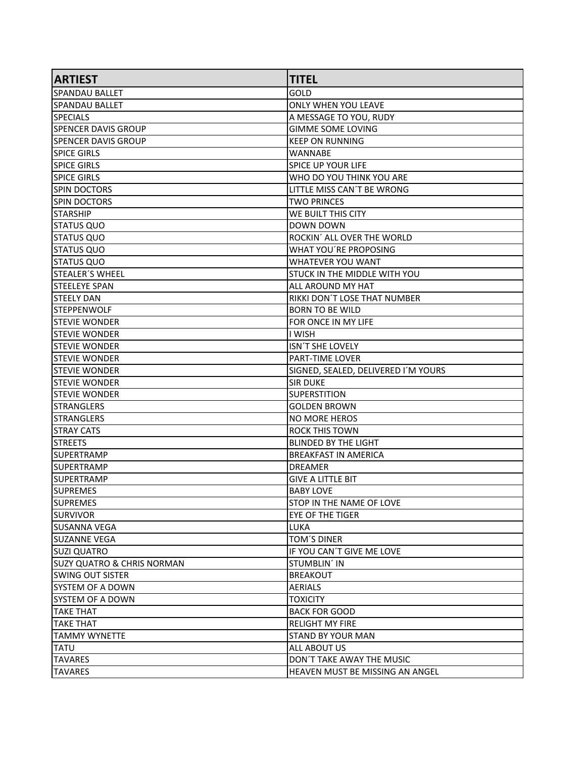| <b>ARTIEST</b>             | <b>TITEL</b>                        |
|----------------------------|-------------------------------------|
| SPANDAU BALLET             | GOLD                                |
| SPANDAU BALLET             | <b>ONLY WHEN YOU LEAVE</b>          |
| <b>SPECIALS</b>            | A MESSAGE TO YOU, RUDY              |
| SPENCER DAVIS GROUP        | <b>GIMME SOME LOVING</b>            |
| ISPENCER DAVIS GROUP       | <b>KEEP ON RUNNING</b>              |
| <b>SPICE GIRLS</b>         | WANNABE                             |
| <b>SPICE GIRLS</b>         | <b>SPICE UP YOUR LIFE</b>           |
| <b>SPICE GIRLS</b>         | WHO DO YOU THINK YOU ARE            |
| SPIN DOCTORS               | LITTLE MISS CAN'T BE WRONG          |
| <b>SPIN DOCTORS</b>        | <b>TWO PRINCES</b>                  |
| <b>STARSHIP</b>            | WE BUILT THIS CITY                  |
| ISTATUS QUO                | DOWN DOWN                           |
| STATUS QUO                 | ROCKIN' ALL OVER THE WORLD          |
| ISTATUS QUO                | WHAT YOU'RE PROPOSING               |
| STATUS QUO                 | <b>WHATEVER YOU WANT</b>            |
| lstealer′s wheel           | <b>STUCK IN THE MIDDLE WITH YOU</b> |
| <b>STEELEYE SPAN</b>       | ALL AROUND MY HAT                   |
| STEELY DAN                 | RIKKI DON'T LOSE THAT NUMBER        |
| <b>STEPPENWOLF</b>         | <b>BORN TO BE WILD</b>              |
| <b>STEVIE WONDER</b>       | FOR ONCE IN MY LIFE                 |
| ISTEVIE WONDER             | I WISH                              |
| <b>STEVIE WONDER</b>       | ISN'T SHE LOVELY                    |
| ISTEVIE WONDER             | PART-TIME LOVER                     |
| ISTEVIE WONDER             | SIGNED, SEALED, DELIVERED I'M YOURS |
| ISTEVIE WONDER             | <b>SIR DUKE</b>                     |
| ISTEVIE WONDER             | <b>SUPERSTITION</b>                 |
| STRANGLERS                 | <b>GOLDEN BROWN</b>                 |
| <b>ISTRANGLERS</b>         | NO MORE HEROS                       |
| <b>STRAY CATS</b>          | <b>ROCK THIS TOWN</b>               |
| <b>STREETS</b>             | <b>BLINDED BY THE LIGHT</b>         |
| ISUPERTRAMP                | <b>BREAKFAST IN AMERICA</b>         |
| ISUPERTRAMP                | <b>DREAMER</b>                      |
| SUPERTRAMP                 | <b>GIVE A LITTLE BIT</b>            |
| <b>SUPREMES</b>            | <b>BABY LOVE</b>                    |
| <b>SUPREMES</b>            | STOP IN THE NAME OF LOVE            |
| <b>ISURVIVOR</b>           | EYE OF THE TIGER                    |
| <b>SUSANNA VEGA</b>        | <b>LUKA</b>                         |
| <b>SUZANNE VEGA</b>        | TOM'S DINER                         |
| <b>SUZI QUATRO</b>         | IF YOU CAN'T GIVE ME LOVE           |
| SUZY QUATRO & CHRIS NORMAN | <b>STUMBLIN' IN</b>                 |
| lswing out sister          | <b>BREAKOUT</b>                     |
| SYSTEM OF A DOWN           | <b>AERIALS</b>                      |
| <b>SYSTEM OF A DOWN</b>    | <b>TOXICITY</b>                     |
| TAKE THAT                  | <b>BACK FOR GOOD</b>                |
| <b>TAKE THAT</b>           | <b>RELIGHT MY FIRE</b>              |
| <b>TAMMY WYNETTE</b>       | <b>STAND BY YOUR MAN</b>            |
| <b>TATU</b>                | <b>ALL ABOUT US</b>                 |
| <b>TAVARES</b>             | DON'T TAKE AWAY THE MUSIC           |
| <b>TAVARES</b>             | HEAVEN MUST BE MISSING AN ANGEL     |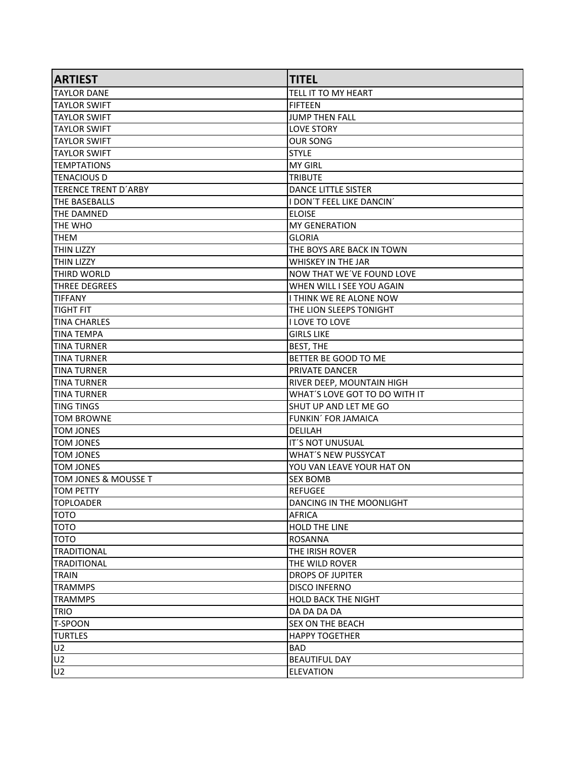| <b>TAYLOR DANE</b><br>TELL IT TO MY HEART<br><b>TAYLOR SWIFT</b><br><b>FIFTEEN</b><br>JUMP THEN FALL<br><b>TAYLOR SWIFT</b><br><b>TAYLOR SWIFT</b><br><b>LOVE STORY</b><br><b>TAYLOR SWIFT</b><br><b>OUR SONG</b><br><b>TAYLOR SWIFT</b><br><b>STYLE</b><br><b>TEMPTATIONS</b><br><b>MY GIRL</b><br>ITENACIOUS D<br><b>TRIBUTE</b><br>TERENCE TRENT D'ARBY<br><b>DANCE LITTLE SISTER</b><br><b>THE BASEBALLS</b><br>I DON'T FEEL LIKE DANCIN'<br><b>THE DAMNED</b><br><b>ELOISE</b><br><b>MY GENERATION</b><br>THE WHO<br>ITHEM<br><b>GLORIA</b><br><b>THIN LIZZY</b><br>THE BOYS ARE BACK IN TOWN<br><b>THIN LIZZY</b><br><b>WHISKEY IN THE JAR</b><br><b>THIRD WORLD</b><br>NOW THAT WE'VE FOUND LOVE<br><b>THREE DEGREES</b><br>WHEN WILL I SEE YOU AGAIN<br>I THINK WE RE ALONE NOW<br><b>TIFFANY</b><br>THE LION SLEEPS TONIGHT<br>TIGHT FIT<br><b>TINA CHARLES</b><br>I LOVE TO LOVE<br><b>TINA TEMPA</b><br><b>GIRLS LIKE</b><br><b>TINA TURNER</b><br><b>BEST, THE</b><br>BETTER BE GOOD TO ME<br><b>TINA TURNER</b><br><b>TINA TURNER</b><br>PRIVATE DANCER<br><b>TINA TURNER</b><br>RIVER DEEP, MOUNTAIN HIGH<br>WHAT'S LOVE GOT TO DO WITH IT<br><b>TINA TURNER</b><br>SHUT UP AND LET ME GO<br><b>TING TINGS</b><br><b>TOM BROWNE</b><br>FUNKIN' FOR JAMAICA<br><b>TOM JONES</b><br><b>DELILAH</b><br><b>TOM JONES</b><br>IT'S NOT UNUSUAL<br><b>TOM JONES</b><br><b>WHAT'S NEW PUSSYCAT</b><br><b>TOM JONES</b><br>YOU VAN LEAVE YOUR HAT ON<br>TOM JONES & MOUSSE T<br><b>SEX BOMB</b><br><b>TOM PETTY</b><br><b>REFUGEE</b><br><b>TOPLOADER</b><br>DANCING IN THE MOONLIGHT<br>TOTO<br><b>AFRICA</b><br><b>OTOT</b><br>HOLD THE LINE<br><b>TOTO</b><br><b>ROSANNA</b><br><b>TRADITIONAL</b><br>THE IRISH ROVER<br><b>TRADITIONAL</b><br>THE WILD ROVER<br><b>TRAIN</b><br><b>DROPS OF JUPITER</b><br><b>TRAMMPS</b><br><b>DISCO INFERNO</b><br><b>TRAMMPS</b><br><b>HOLD BACK THE NIGHT</b><br><b>TRIO</b><br>DA DA DA DA<br><b>T-SPOON</b><br><b>SEX ON THE BEACH</b><br><b>TURTLES</b><br><b>HAPPY TOGETHER</b><br>U <sub>2</sub><br><b>BAD</b><br>U <sub>2</sub><br><b>BEAUTIFUL DAY</b> | <b>ARTIEST</b> | <b>TITEL</b>     |
|------------------------------------------------------------------------------------------------------------------------------------------------------------------------------------------------------------------------------------------------------------------------------------------------------------------------------------------------------------------------------------------------------------------------------------------------------------------------------------------------------------------------------------------------------------------------------------------------------------------------------------------------------------------------------------------------------------------------------------------------------------------------------------------------------------------------------------------------------------------------------------------------------------------------------------------------------------------------------------------------------------------------------------------------------------------------------------------------------------------------------------------------------------------------------------------------------------------------------------------------------------------------------------------------------------------------------------------------------------------------------------------------------------------------------------------------------------------------------------------------------------------------------------------------------------------------------------------------------------------------------------------------------------------------------------------------------------------------------------------------------------------------------------------------------------------------------------------------------------------------------------------------------------------------------------------------------------------------------------------------------------------------------------------------------------------------------------------------------------|----------------|------------------|
|                                                                                                                                                                                                                                                                                                                                                                                                                                                                                                                                                                                                                                                                                                                                                                                                                                                                                                                                                                                                                                                                                                                                                                                                                                                                                                                                                                                                                                                                                                                                                                                                                                                                                                                                                                                                                                                                                                                                                                                                                                                                                                            |                |                  |
|                                                                                                                                                                                                                                                                                                                                                                                                                                                                                                                                                                                                                                                                                                                                                                                                                                                                                                                                                                                                                                                                                                                                                                                                                                                                                                                                                                                                                                                                                                                                                                                                                                                                                                                                                                                                                                                                                                                                                                                                                                                                                                            |                |                  |
|                                                                                                                                                                                                                                                                                                                                                                                                                                                                                                                                                                                                                                                                                                                                                                                                                                                                                                                                                                                                                                                                                                                                                                                                                                                                                                                                                                                                                                                                                                                                                                                                                                                                                                                                                                                                                                                                                                                                                                                                                                                                                                            |                |                  |
|                                                                                                                                                                                                                                                                                                                                                                                                                                                                                                                                                                                                                                                                                                                                                                                                                                                                                                                                                                                                                                                                                                                                                                                                                                                                                                                                                                                                                                                                                                                                                                                                                                                                                                                                                                                                                                                                                                                                                                                                                                                                                                            |                |                  |
|                                                                                                                                                                                                                                                                                                                                                                                                                                                                                                                                                                                                                                                                                                                                                                                                                                                                                                                                                                                                                                                                                                                                                                                                                                                                                                                                                                                                                                                                                                                                                                                                                                                                                                                                                                                                                                                                                                                                                                                                                                                                                                            |                |                  |
|                                                                                                                                                                                                                                                                                                                                                                                                                                                                                                                                                                                                                                                                                                                                                                                                                                                                                                                                                                                                                                                                                                                                                                                                                                                                                                                                                                                                                                                                                                                                                                                                                                                                                                                                                                                                                                                                                                                                                                                                                                                                                                            |                |                  |
|                                                                                                                                                                                                                                                                                                                                                                                                                                                                                                                                                                                                                                                                                                                                                                                                                                                                                                                                                                                                                                                                                                                                                                                                                                                                                                                                                                                                                                                                                                                                                                                                                                                                                                                                                                                                                                                                                                                                                                                                                                                                                                            |                |                  |
|                                                                                                                                                                                                                                                                                                                                                                                                                                                                                                                                                                                                                                                                                                                                                                                                                                                                                                                                                                                                                                                                                                                                                                                                                                                                                                                                                                                                                                                                                                                                                                                                                                                                                                                                                                                                                                                                                                                                                                                                                                                                                                            |                |                  |
|                                                                                                                                                                                                                                                                                                                                                                                                                                                                                                                                                                                                                                                                                                                                                                                                                                                                                                                                                                                                                                                                                                                                                                                                                                                                                                                                                                                                                                                                                                                                                                                                                                                                                                                                                                                                                                                                                                                                                                                                                                                                                                            |                |                  |
|                                                                                                                                                                                                                                                                                                                                                                                                                                                                                                                                                                                                                                                                                                                                                                                                                                                                                                                                                                                                                                                                                                                                                                                                                                                                                                                                                                                                                                                                                                                                                                                                                                                                                                                                                                                                                                                                                                                                                                                                                                                                                                            |                |                  |
|                                                                                                                                                                                                                                                                                                                                                                                                                                                                                                                                                                                                                                                                                                                                                                                                                                                                                                                                                                                                                                                                                                                                                                                                                                                                                                                                                                                                                                                                                                                                                                                                                                                                                                                                                                                                                                                                                                                                                                                                                                                                                                            |                |                  |
|                                                                                                                                                                                                                                                                                                                                                                                                                                                                                                                                                                                                                                                                                                                                                                                                                                                                                                                                                                                                                                                                                                                                                                                                                                                                                                                                                                                                                                                                                                                                                                                                                                                                                                                                                                                                                                                                                                                                                                                                                                                                                                            |                |                  |
|                                                                                                                                                                                                                                                                                                                                                                                                                                                                                                                                                                                                                                                                                                                                                                                                                                                                                                                                                                                                                                                                                                                                                                                                                                                                                                                                                                                                                                                                                                                                                                                                                                                                                                                                                                                                                                                                                                                                                                                                                                                                                                            |                |                  |
|                                                                                                                                                                                                                                                                                                                                                                                                                                                                                                                                                                                                                                                                                                                                                                                                                                                                                                                                                                                                                                                                                                                                                                                                                                                                                                                                                                                                                                                                                                                                                                                                                                                                                                                                                                                                                                                                                                                                                                                                                                                                                                            |                |                  |
|                                                                                                                                                                                                                                                                                                                                                                                                                                                                                                                                                                                                                                                                                                                                                                                                                                                                                                                                                                                                                                                                                                                                                                                                                                                                                                                                                                                                                                                                                                                                                                                                                                                                                                                                                                                                                                                                                                                                                                                                                                                                                                            |                |                  |
|                                                                                                                                                                                                                                                                                                                                                                                                                                                                                                                                                                                                                                                                                                                                                                                                                                                                                                                                                                                                                                                                                                                                                                                                                                                                                                                                                                                                                                                                                                                                                                                                                                                                                                                                                                                                                                                                                                                                                                                                                                                                                                            |                |                  |
|                                                                                                                                                                                                                                                                                                                                                                                                                                                                                                                                                                                                                                                                                                                                                                                                                                                                                                                                                                                                                                                                                                                                                                                                                                                                                                                                                                                                                                                                                                                                                                                                                                                                                                                                                                                                                                                                                                                                                                                                                                                                                                            |                |                  |
|                                                                                                                                                                                                                                                                                                                                                                                                                                                                                                                                                                                                                                                                                                                                                                                                                                                                                                                                                                                                                                                                                                                                                                                                                                                                                                                                                                                                                                                                                                                                                                                                                                                                                                                                                                                                                                                                                                                                                                                                                                                                                                            |                |                  |
|                                                                                                                                                                                                                                                                                                                                                                                                                                                                                                                                                                                                                                                                                                                                                                                                                                                                                                                                                                                                                                                                                                                                                                                                                                                                                                                                                                                                                                                                                                                                                                                                                                                                                                                                                                                                                                                                                                                                                                                                                                                                                                            |                |                  |
|                                                                                                                                                                                                                                                                                                                                                                                                                                                                                                                                                                                                                                                                                                                                                                                                                                                                                                                                                                                                                                                                                                                                                                                                                                                                                                                                                                                                                                                                                                                                                                                                                                                                                                                                                                                                                                                                                                                                                                                                                                                                                                            |                |                  |
|                                                                                                                                                                                                                                                                                                                                                                                                                                                                                                                                                                                                                                                                                                                                                                                                                                                                                                                                                                                                                                                                                                                                                                                                                                                                                                                                                                                                                                                                                                                                                                                                                                                                                                                                                                                                                                                                                                                                                                                                                                                                                                            |                |                  |
|                                                                                                                                                                                                                                                                                                                                                                                                                                                                                                                                                                                                                                                                                                                                                                                                                                                                                                                                                                                                                                                                                                                                                                                                                                                                                                                                                                                                                                                                                                                                                                                                                                                                                                                                                                                                                                                                                                                                                                                                                                                                                                            |                |                  |
|                                                                                                                                                                                                                                                                                                                                                                                                                                                                                                                                                                                                                                                                                                                                                                                                                                                                                                                                                                                                                                                                                                                                                                                                                                                                                                                                                                                                                                                                                                                                                                                                                                                                                                                                                                                                                                                                                                                                                                                                                                                                                                            |                |                  |
|                                                                                                                                                                                                                                                                                                                                                                                                                                                                                                                                                                                                                                                                                                                                                                                                                                                                                                                                                                                                                                                                                                                                                                                                                                                                                                                                                                                                                                                                                                                                                                                                                                                                                                                                                                                                                                                                                                                                                                                                                                                                                                            |                |                  |
|                                                                                                                                                                                                                                                                                                                                                                                                                                                                                                                                                                                                                                                                                                                                                                                                                                                                                                                                                                                                                                                                                                                                                                                                                                                                                                                                                                                                                                                                                                                                                                                                                                                                                                                                                                                                                                                                                                                                                                                                                                                                                                            |                |                  |
|                                                                                                                                                                                                                                                                                                                                                                                                                                                                                                                                                                                                                                                                                                                                                                                                                                                                                                                                                                                                                                                                                                                                                                                                                                                                                                                                                                                                                                                                                                                                                                                                                                                                                                                                                                                                                                                                                                                                                                                                                                                                                                            |                |                  |
|                                                                                                                                                                                                                                                                                                                                                                                                                                                                                                                                                                                                                                                                                                                                                                                                                                                                                                                                                                                                                                                                                                                                                                                                                                                                                                                                                                                                                                                                                                                                                                                                                                                                                                                                                                                                                                                                                                                                                                                                                                                                                                            |                |                  |
|                                                                                                                                                                                                                                                                                                                                                                                                                                                                                                                                                                                                                                                                                                                                                                                                                                                                                                                                                                                                                                                                                                                                                                                                                                                                                                                                                                                                                                                                                                                                                                                                                                                                                                                                                                                                                                                                                                                                                                                                                                                                                                            |                |                  |
|                                                                                                                                                                                                                                                                                                                                                                                                                                                                                                                                                                                                                                                                                                                                                                                                                                                                                                                                                                                                                                                                                                                                                                                                                                                                                                                                                                                                                                                                                                                                                                                                                                                                                                                                                                                                                                                                                                                                                                                                                                                                                                            |                |                  |
|                                                                                                                                                                                                                                                                                                                                                                                                                                                                                                                                                                                                                                                                                                                                                                                                                                                                                                                                                                                                                                                                                                                                                                                                                                                                                                                                                                                                                                                                                                                                                                                                                                                                                                                                                                                                                                                                                                                                                                                                                                                                                                            |                |                  |
|                                                                                                                                                                                                                                                                                                                                                                                                                                                                                                                                                                                                                                                                                                                                                                                                                                                                                                                                                                                                                                                                                                                                                                                                                                                                                                                                                                                                                                                                                                                                                                                                                                                                                                                                                                                                                                                                                                                                                                                                                                                                                                            |                |                  |
|                                                                                                                                                                                                                                                                                                                                                                                                                                                                                                                                                                                                                                                                                                                                                                                                                                                                                                                                                                                                                                                                                                                                                                                                                                                                                                                                                                                                                                                                                                                                                                                                                                                                                                                                                                                                                                                                                                                                                                                                                                                                                                            |                |                  |
|                                                                                                                                                                                                                                                                                                                                                                                                                                                                                                                                                                                                                                                                                                                                                                                                                                                                                                                                                                                                                                                                                                                                                                                                                                                                                                                                                                                                                                                                                                                                                                                                                                                                                                                                                                                                                                                                                                                                                                                                                                                                                                            |                |                  |
|                                                                                                                                                                                                                                                                                                                                                                                                                                                                                                                                                                                                                                                                                                                                                                                                                                                                                                                                                                                                                                                                                                                                                                                                                                                                                                                                                                                                                                                                                                                                                                                                                                                                                                                                                                                                                                                                                                                                                                                                                                                                                                            |                |                  |
|                                                                                                                                                                                                                                                                                                                                                                                                                                                                                                                                                                                                                                                                                                                                                                                                                                                                                                                                                                                                                                                                                                                                                                                                                                                                                                                                                                                                                                                                                                                                                                                                                                                                                                                                                                                                                                                                                                                                                                                                                                                                                                            |                |                  |
|                                                                                                                                                                                                                                                                                                                                                                                                                                                                                                                                                                                                                                                                                                                                                                                                                                                                                                                                                                                                                                                                                                                                                                                                                                                                                                                                                                                                                                                                                                                                                                                                                                                                                                                                                                                                                                                                                                                                                                                                                                                                                                            |                |                  |
|                                                                                                                                                                                                                                                                                                                                                                                                                                                                                                                                                                                                                                                                                                                                                                                                                                                                                                                                                                                                                                                                                                                                                                                                                                                                                                                                                                                                                                                                                                                                                                                                                                                                                                                                                                                                                                                                                                                                                                                                                                                                                                            |                |                  |
|                                                                                                                                                                                                                                                                                                                                                                                                                                                                                                                                                                                                                                                                                                                                                                                                                                                                                                                                                                                                                                                                                                                                                                                                                                                                                                                                                                                                                                                                                                                                                                                                                                                                                                                                                                                                                                                                                                                                                                                                                                                                                                            |                |                  |
|                                                                                                                                                                                                                                                                                                                                                                                                                                                                                                                                                                                                                                                                                                                                                                                                                                                                                                                                                                                                                                                                                                                                                                                                                                                                                                                                                                                                                                                                                                                                                                                                                                                                                                                                                                                                                                                                                                                                                                                                                                                                                                            |                |                  |
|                                                                                                                                                                                                                                                                                                                                                                                                                                                                                                                                                                                                                                                                                                                                                                                                                                                                                                                                                                                                                                                                                                                                                                                                                                                                                                                                                                                                                                                                                                                                                                                                                                                                                                                                                                                                                                                                                                                                                                                                                                                                                                            |                |                  |
|                                                                                                                                                                                                                                                                                                                                                                                                                                                                                                                                                                                                                                                                                                                                                                                                                                                                                                                                                                                                                                                                                                                                                                                                                                                                                                                                                                                                                                                                                                                                                                                                                                                                                                                                                                                                                                                                                                                                                                                                                                                                                                            |                |                  |
|                                                                                                                                                                                                                                                                                                                                                                                                                                                                                                                                                                                                                                                                                                                                                                                                                                                                                                                                                                                                                                                                                                                                                                                                                                                                                                                                                                                                                                                                                                                                                                                                                                                                                                                                                                                                                                                                                                                                                                                                                                                                                                            |                |                  |
|                                                                                                                                                                                                                                                                                                                                                                                                                                                                                                                                                                                                                                                                                                                                                                                                                                                                                                                                                                                                                                                                                                                                                                                                                                                                                                                                                                                                                                                                                                                                                                                                                                                                                                                                                                                                                                                                                                                                                                                                                                                                                                            |                |                  |
|                                                                                                                                                                                                                                                                                                                                                                                                                                                                                                                                                                                                                                                                                                                                                                                                                                                                                                                                                                                                                                                                                                                                                                                                                                                                                                                                                                                                                                                                                                                                                                                                                                                                                                                                                                                                                                                                                                                                                                                                                                                                                                            |                |                  |
|                                                                                                                                                                                                                                                                                                                                                                                                                                                                                                                                                                                                                                                                                                                                                                                                                                                                                                                                                                                                                                                                                                                                                                                                                                                                                                                                                                                                                                                                                                                                                                                                                                                                                                                                                                                                                                                                                                                                                                                                                                                                                                            |                |                  |
|                                                                                                                                                                                                                                                                                                                                                                                                                                                                                                                                                                                                                                                                                                                                                                                                                                                                                                                                                                                                                                                                                                                                                                                                                                                                                                                                                                                                                                                                                                                                                                                                                                                                                                                                                                                                                                                                                                                                                                                                                                                                                                            |                |                  |
|                                                                                                                                                                                                                                                                                                                                                                                                                                                                                                                                                                                                                                                                                                                                                                                                                                                                                                                                                                                                                                                                                                                                                                                                                                                                                                                                                                                                                                                                                                                                                                                                                                                                                                                                                                                                                                                                                                                                                                                                                                                                                                            |                |                  |
|                                                                                                                                                                                                                                                                                                                                                                                                                                                                                                                                                                                                                                                                                                                                                                                                                                                                                                                                                                                                                                                                                                                                                                                                                                                                                                                                                                                                                                                                                                                                                                                                                                                                                                                                                                                                                                                                                                                                                                                                                                                                                                            |                |                  |
|                                                                                                                                                                                                                                                                                                                                                                                                                                                                                                                                                                                                                                                                                                                                                                                                                                                                                                                                                                                                                                                                                                                                                                                                                                                                                                                                                                                                                                                                                                                                                                                                                                                                                                                                                                                                                                                                                                                                                                                                                                                                                                            | U <sub>2</sub> | <b>ELEVATION</b> |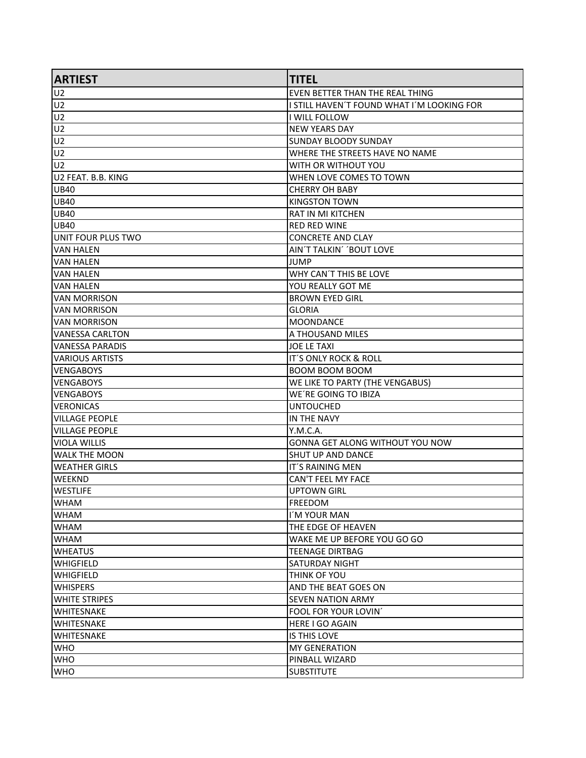| <b>ARTIEST</b>        | <b>TITEL</b>                               |
|-----------------------|--------------------------------------------|
| <b>U2</b>             | EVEN BETTER THAN THE REAL THING            |
| U <sub>2</sub>        | I STILL HAVEN'T FOUND WHAT I'M LOOKING FOR |
| ∫U2                   | I WILL FOLLOW                              |
| U <sub>2</sub>        | <b>NEW YEARS DAY</b>                       |
| U <sub>2</sub>        | <b>SUNDAY BLOODY SUNDAY</b>                |
| U <sub>2</sub>        | WHERE THE STREETS HAVE NO NAME             |
| U <sub>2</sub>        | WITH OR WITHOUT YOU                        |
| U2 FEAT. B.B. KING    | WHEN LOVE COMES TO TOWN                    |
| <b>UB40</b>           | <b>CHERRY OH BABY</b>                      |
| UB40                  | <b>KINGSTON TOWN</b>                       |
| <b>UB40</b>           | <b>RAT IN MI KITCHEN</b>                   |
| <b>UB40</b>           | <b>RED RED WINE</b>                        |
| UNIT FOUR PLUS TWO    | <b>CONCRETE AND CLAY</b>                   |
| VAN HALEN             | AIN'T TALKIN' 'BOUT LOVE                   |
| VAN HALEN             | JUMP                                       |
| IVAN HALEN            | WHY CAN'T THIS BE LOVE                     |
| IVAN HALEN            | YOU REALLY GOT ME                          |
| VAN MORRISON          | <b>BROWN EYED GIRL</b>                     |
| IVAN MORRISON         | <b>GLORIA</b>                              |
| <b>VAN MORRISON</b>   | <b>MOONDANCE</b>                           |
| VANESSA CARLTON       | A THOUSAND MILES                           |
| VANESSA PARADIS       | <b>JOE LE TAXI</b>                         |
| VARIOUS ARTISTS       | IT'S ONLY ROCK & ROLL                      |
| <b>VENGABOYS</b>      | <b>BOOM BOOM BOOM</b>                      |
| VENGABOYS             | WE LIKE TO PARTY (THE VENGABUS)            |
| <b>VENGABOYS</b>      | WE'RE GOING TO IBIZA                       |
| <b>VERONICAS</b>      | <b>UNTOUCHED</b>                           |
| <b>VILLAGE PEOPLE</b> | IN THE NAVY                                |
| VILLAGE PEOPLE        | Y.M.C.A.                                   |
| <b>VIOLA WILLIS</b>   | GONNA GET ALONG WITHOUT YOU NOW            |
| lwalk THE MOON        | <b>SHUT UP AND DANCE</b>                   |
| <b>WEATHER GIRLS</b>  | IT'S RAINING MEN                           |
| <b>WEEKND</b>         | CAN'T FEEL MY FACE                         |
| <b>WESTLIFE</b>       | <b>UPTOWN GIRL</b>                         |
| <b>WHAM</b>           | <b>FREEDOM</b>                             |
| IWHAM                 | I'M YOUR MAN                               |
| <b>WHAM</b>           | THE EDGE OF HEAVEN                         |
| <b>WHAM</b>           | WAKE ME UP BEFORE YOU GO GO                |
| <b>WHEATUS</b>        | <b>TEENAGE DIRTBAG</b>                     |
| <b>WHIGFIELD</b>      | <b>SATURDAY NIGHT</b>                      |
| WHIGFIELD             | THINK OF YOU                               |
| <b>WHISPERS</b>       | AND THE BEAT GOES ON                       |
| <b>WHITE STRIPES</b>  | <b>SEVEN NATION ARMY</b>                   |
| <b>WHITESNAKE</b>     | FOOL FOR YOUR LOVIN'                       |
| <b>WHITESNAKE</b>     | <b>HERE I GO AGAIN</b>                     |
| <b>WHITESNAKE</b>     | IS THIS LOVE                               |
| <b>WHO</b>            | <b>MY GENERATION</b>                       |
| <b>WHO</b>            | PINBALL WIZARD                             |
| <b>WHO</b>            | <b>SUBSTITUTE</b>                          |